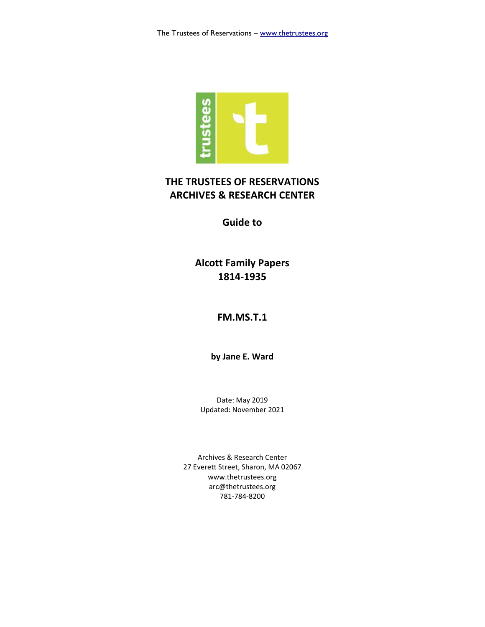

## **THE TRUSTEES OF RESERVATIONS ARCHIVES & RESEARCH CENTER**

**Guide to**

**Alcott Family Papers 1814-1935**

### **FM.MS.T.1**

**by Jane E. Ward**

Date: May 2019 Updated: November 2021

Archives & Research Center 27 Everett Street, Sharon, MA 02067 www.thetrustees.org arc@thetrustees.org 781-784-8200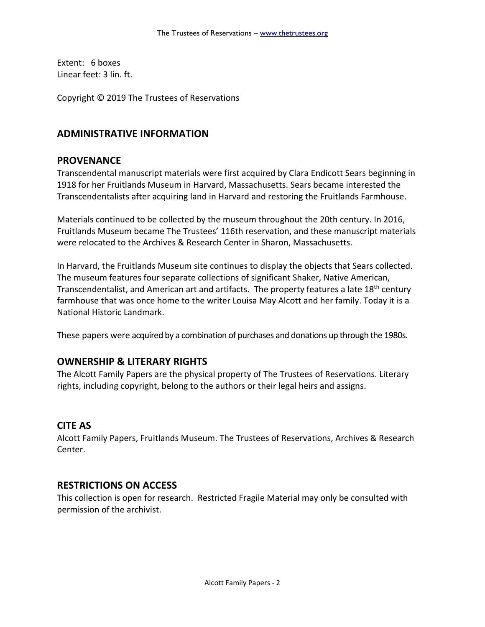Extent: 6 boxes Linear feet: 3 lin. ft.

Copyright © 2019 The Trustees of Reservations

### **ADMINISTRATIVE INFORMATION**

#### **PROVENANCE**

Transcendental manuscript materials were first acquired by Clara Endicott Sears beginning in 1918 for her Fruitlands Museum in Harvard, Massachusetts. Sears became interested the Transcendentalists after acquiring land in Harvard and restoring the Fruitlands Farmhouse.

Materials continued to be collected by the museum throughout the 20th century. In 2016, Fruitlands Museum became The Trustees' 116th reservation, and these manuscript materials were relocated to the Archives & Research Center in Sharon, Massachusetts.

In Harvard, the Fruitlands Museum site continues to display the objects that Sears collected. The museum features four separate collections of significant Shaker, Native American, Transcendentalist, and American art and artifacts. The property features a late 18<sup>th</sup> century farmhouse that was once home to the writer Louisa May Alcott and her family. Today it is a National Historic Landmark.

These papers were acquired by a combination of purchases and donations up through the 1980s.

### **OWNERSHIP & LITERARY RIGHTS**

The Alcott Family Papers are the physical property of The Trustees of Reservations. Literary rights, including copyright, belong to the authors or their legal heirs and assigns.

### **CITE AS**

Alcott Family Papers, Fruitlands Museum. The Trustees of Reservations, Archives & Research Center.

### **RESTRICTIONS ON ACCESS**

This collection is open for research. Restricted Fragile Material may only be consulted with permission of the archivist.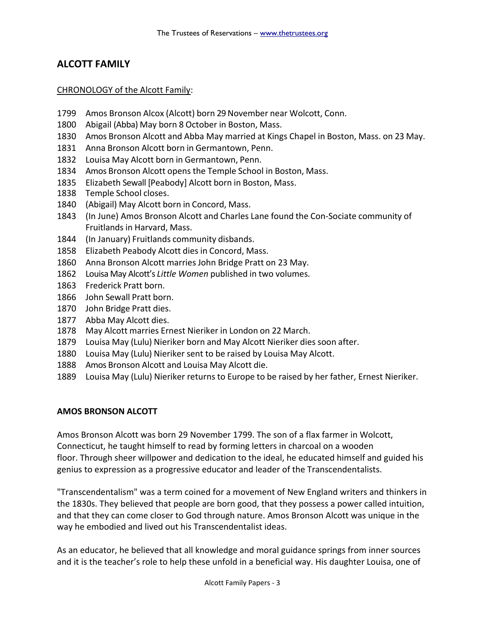## **ALCOTT FAMILY**

#### CHRONOLOGY of the Alcott Family:

- 1799 Amos Bronson Alcox (Alcott) born 29 November near Wolcott, Conn.
- 1800 Abigail (Abba) May born 8 October in Boston, Mass.
- 1830 Amos Bronson Alcott and Abba May married at Kings Chapel in Boston, Mass. on 23 May.
- 1831 Anna Bronson Alcott born in Germantown, Penn.
- 1832 Louisa May Alcott born in Germantown, Penn.
- 1834 Amos Bronson Alcott opens the Temple School in Boston, Mass.
- 1835 Elizabeth Sewall [Peabody] Alcott born in Boston, Mass.
- 1838 Temple School closes.
- 1840 (Abigail) May Alcott born in Concord, Mass.
- 1843 (In June) Amos Bronson Alcott and Charles Lane found the Con-Sociate community of Fruitlands in Harvard, Mass.
- 1844 (In January) Fruitlands community disbands.
- 1858 Elizabeth Peabody Alcott dies in Concord, Mass.
- 1860 Anna Bronson Alcott marries John Bridge Pratt on 23 May.
- 1862 Louisa May Alcott's *Little Women* published in two volumes.
- 1863 Frederick Pratt born.
- 1866 John Sewall Pratt born.
- 1870 John Bridge Pratt dies.
- 1877 Abba May Alcott dies.
- 1878 May Alcott marries Ernest Nieriker in London on 22 March.
- 1879 Louisa May (Lulu) Nieriker born and May Alcott Nieriker dies soon after.
- 1880 Louisa May (Lulu) Nieriker sent to be raised by Louisa May Alcott.
- 1888 Amos Bronson Alcott and Louisa May Alcott die.
- 1889 Louisa May (Lulu) Nieriker returns to Europe to be raised by her father, Ernest Nieriker.

#### **AMOS BRONSON ALCOTT**

Amos Bronson Alcott was born 29 November 1799. The son of a flax farmer in Wolcott, Connecticut, he taught himself to read by forming letters in charcoal on a wooden floor. Through sheer willpower and dedication to the ideal, he educated himself and guided his genius to expression as a progressive educator and leader of the Transcendentalists.

"Transcendentalism" was a term coined for a movement of New England writers and thinkers in the 1830s. They believed that people are born good, that they possess a power called intuition, and that they can come closer to God through nature. Amos Bronson Alcott was unique in the way he embodied and lived out his Transcendentalist ideas.

As an educator, he believed that all knowledge and moral guidance springs from inner sources and it is the teacher's role to help these unfold in a beneficial way. His daughter Louisa, one of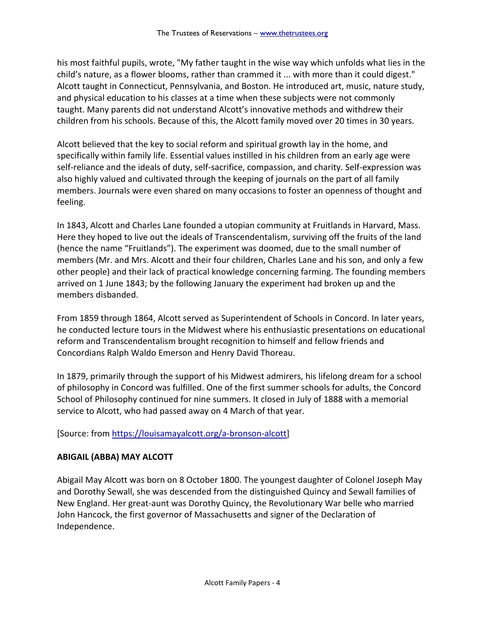his most faithful pupils, wrote, "My father taught in the wise way which unfolds what lies in the child's nature, as a flower blooms, rather than crammed it ... with more than it could digest." Alcott taught in Connecticut, Pennsylvania, and Boston. He introduced art, music, nature study, and physical education to his classes at a time when these subjects were not commonly taught. Many parents did not understand Alcott's innovative methods and withdrew their children from his schools. Because of this, the Alcott family moved over 20 times in 30 years.

Alcott believed that the key to social reform and spiritual growth lay in the home, and specifically within family life. Essential values instilled in his children from an early age were self-reliance and the ideals of duty, self-sacrifice, compassion, and charity. Self-expression was also highly valued and cultivated through the keeping of journals on the part of all family members. Journals were even shared on many occasions to foster an openness of thought and feeling.

In 1843, Alcott and Charles Lane founded a utopian community at Fruitlands in Harvard, Mass. Here they hoped to live out the ideals of Transcendentalism, surviving off the fruits of the land (hence the name "Fruitlands"). The experiment was doomed, due to the small number of members (Mr. and Mrs. Alcott and their four children, Charles Lane and his son, and only a few other people) and their lack of practical knowledge concerning farming. The founding members arrived on 1 June 1843; by the following January the experiment had broken up and the members disbanded.

From 1859 through 1864, Alcott served as Superintendent of Schools in Concord. In later years, he conducted lecture tours in the Midwest where his enthusiastic presentations on educational reform and Transcendentalism brought recognition to himself and fellow friends and Concordians Ralph Waldo Emerson and Henry David Thoreau.

In 1879, primarily through the support of his Midwest admirers, his lifelong dream for a school of philosophy in Concord was fulfilled. One of the first summer schools for adults, the Concord School of Philosophy continued for nine summers. It closed in July of 1888 with a memorial service to Alcott, who had passed away on 4 March of that year.

[Source: from [https://louisamayalcott.org/a-bronson-alcott\]](https://louisamayalcott.org/a-bronson-alcott)

### **ABIGAIL (ABBA) MAY ALCOTT**

Abigail May Alcott was born on 8 October 1800. The youngest daughter of Colonel Joseph May and Dorothy Sewall, she was descended from the distinguished Quincy and Sewall families of New England. Her great-aunt was Dorothy Quincy, the Revolutionary War belle who married John Hancock, the first governor of Massachusetts and signer of the Declaration of Independence.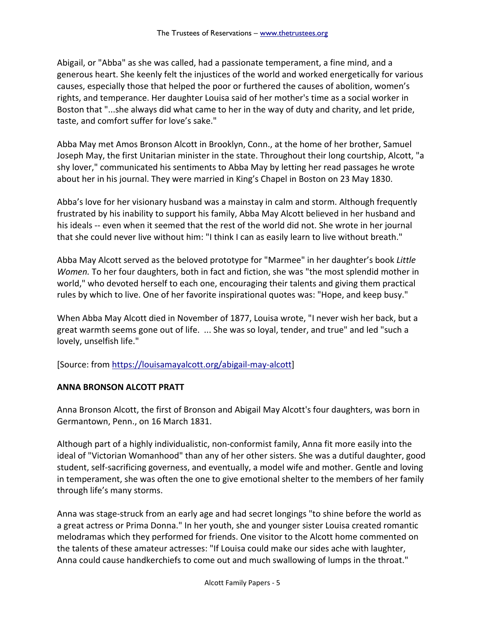Abigail, or "Abba" as she was called, had a passionate temperament, a fine mind, and a generous heart. She keenly felt the injustices of the world and worked energetically for various causes, especially those that helped the poor or furthered the causes of abolition, women's rights, and temperance. Her daughter Louisa said of her mother's time as a social worker in Boston that "...she always did what came to her in the way of duty and charity, and let pride, taste, and comfort suffer for love's sake."

Abba May met Amos Bronson Alcott in Brooklyn, Conn., at the home of her brother, Samuel Joseph May, the first Unitarian minister in the state. Throughout their long courtship, Alcott, "a shy lover," communicated his sentiments to Abba May by letting her read passages he wrote about her in his journal. They were married in King's Chapel in Boston on 23 May 1830.

Abba's love for her visionary husband was a mainstay in calm and storm. Although frequently frustrated by his inability to support his family, Abba May Alcott believed in her husband and his ideals -- even when it seemed that the rest of the world did not. She wrote in her journal that she could never live without him: "I think I can as easily learn to live without breath."

Abba May Alcott served as the beloved prototype for "Marmee" in her daughter's book *Little Women.* To her four daughters, both in fact and fiction, she was "the most splendid mother in world," who devoted herself to each one, encouraging their talents and giving them practical rules by which to live. One of her favorite inspirational quotes was: "Hope, and keep busy."

When Abba May Alcott died in November of 1877, Louisa wrote, "I never wish her back, but a great warmth seems gone out of life. ... She was so loyal, tender, and true" and led "such a lovely, unselfish life."

[Source: from [https://louisamayalcott.org/abigail-may-alcott\]](https://louisamayalcott.org/abigail-may-alcott)

### **ANNA BRONSON ALCOTT PRATT**

Anna Bronson Alcott, the first of Bronson and Abigail May Alcott's four daughters, was born in Germantown, Penn., on 16 March 1831.

Although part of a highly individualistic, non-conformist family, Anna fit more easily into the ideal of "Victorian Womanhood" than any of her other sisters. She was a dutiful daughter, good student, self-sacrificing governess, and eventually, a model wife and mother. Gentle and loving in temperament, she was often the one to give emotional shelter to the members of her family through life's many storms.

Anna was stage-struck from an early age and had secret longings "to shine before the world as a great actress or Prima Donna." In her youth, she and younger sister Louisa created romantic melodramas which they performed for friends. One visitor to the Alcott home commented on the talents of these amateur actresses: "If Louisa could make our sides ache with laughter, Anna could cause handkerchiefs to come out and much swallowing of lumps in the throat."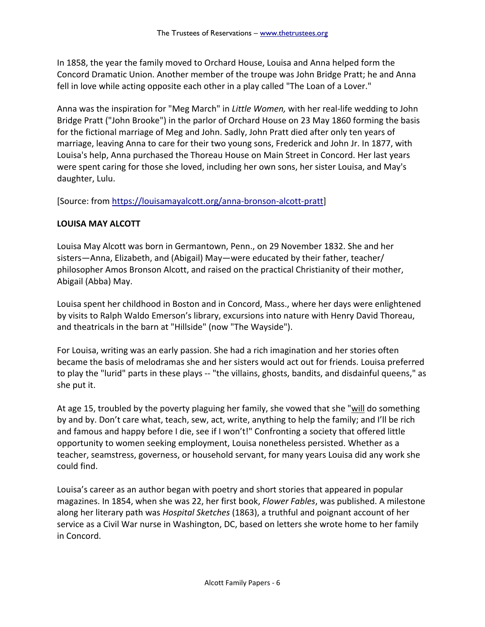In 1858, the year the family moved to Orchard House, Louisa and Anna helped form the Concord Dramatic Union. Another member of the troupe was John Bridge Pratt; he and Anna fell in love while acting opposite each other in a play called "The Loan of a Lover."

Anna was the inspiration for "Meg March" in *Little Women,* with her real-life wedding to John Bridge Pratt ("John Brooke") in the parlor of Orchard House on 23 May 1860 forming the basis for the fictional marriage of Meg and John. Sadly, John Pratt died after only ten years of marriage, leaving Anna to care for their two young sons, Frederick and John Jr. In 1877, with Louisa's help, Anna purchased the Thoreau House on Main Street in Concord. Her last years were spent caring for those she loved, including her own sons, her sister Louisa, and May's daughter, Lulu.

[Source: from [https://louisamayalcott.org/anna-bronson-alcott-pratt\]](https://louisamayalcott.org/anna-bronson-alcott-pratt)

### **LOUISA MAY ALCOTT**

Louisa May Alcott was born in Germantown, Penn., on 29 November 1832. She and her sisters—Anna, Elizabeth, and (Abigail) May—were educated by their father, teacher/ philosopher Amos Bronson Alcott, and raised on the practical Christianity of their mother, Abigail (Abba) May.

Louisa spent her childhood in Boston and in Concord, Mass., where her days were enlightened by visits to Ralph Waldo Emerson's library, excursions into nature with Henry David Thoreau, and theatricals in the barn at "Hillside" (now "The Wayside").

For Louisa, writing was an early passion. She had a rich imagination and her stories often became the basis of melodramas she and her sisters would act out for friends. Louisa preferred to play the "lurid" parts in these plays -- "the villains, ghosts, bandits, and disdainful queens," as she put it.

At age 15, troubled by the poverty plaguing her family, she vowed that she "will do something by and by. Don't care what, teach, sew, act, write, anything to help the family; and I'll be rich and famous and happy before I die, see if I won't!" Confronting a society that offered little opportunity to women seeking employment, Louisa nonetheless persisted. Whether as a teacher, seamstress, governess, or household servant, for many years Louisa did any work she could find.

Louisa's career as an author began with poetry and short stories that appeared in popular magazines. In 1854, when she was 22, her first book, *Flower Fables*, was published. A milestone along her literary path was *Hospital Sketches* (1863), a truthful and poignant account of her service as a Civil War nurse in Washington, DC, based on letters she wrote home to her family in Concord.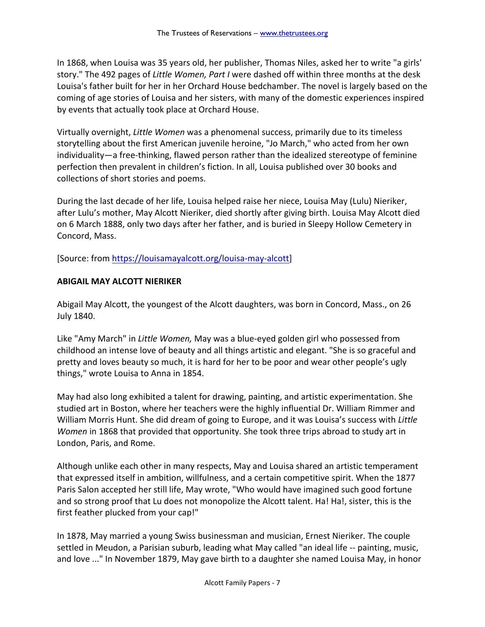In 1868, when Louisa was 35 years old, her publisher, Thomas Niles, asked her to write "a girls' story." The 492 pages of *Little Women, Part I* were dashed off within three months at the desk Louisa's father built for her in her Orchard House bedchamber. The novel is largely based on the coming of age stories of Louisa and her sisters, with many of the domestic experiences inspired by events that actually took place at Orchard House.

Virtually overnight, *Little Women* was a phenomenal success, primarily due to its timeless storytelling about the first American juvenile heroine, "Jo March," who acted from her own individuality—a free-thinking, flawed person rather than the idealized stereotype of feminine perfection then prevalent in children's fiction. In all, Louisa published over 30 books and collections of short stories and poems.

During the last decade of her life, Louisa helped raise her niece, Louisa May (Lulu) Nieriker, after Lulu's mother, May Alcott Nieriker, died shortly after giving birth. Louisa May Alcott died on 6 March 1888, only two days after her father, and is buried in Sleepy Hollow Cemetery in Concord, Mass.

[Source: from [https://louisamayalcott.org/louisa-may-alcott\]](https://louisamayalcott.org/louisa-may-alcott)

### **ABIGAIL MAY ALCOTT NIERIKER**

Abigail May Alcott, the youngest of the Alcott daughters, was born in Concord, Mass., on 26 July 1840.

Like "Amy March" in *Little Women,* May was a blue-eyed golden girl who possessed from childhood an intense love of beauty and all things artistic and elegant. "She is so graceful and pretty and loves beauty so much, it is hard for her to be poor and wear other people's ugly things," wrote Louisa to Anna in 1854.

May had also long exhibited a talent for drawing, painting, and artistic experimentation. She studied art in Boston, where her teachers were the highly influential Dr. William Rimmer and William Morris Hunt. She did dream of going to Europe, and it was Louisa's success with *Little Women* in 1868 that provided that opportunity. She took three trips abroad to study art in London, Paris, and Rome.

Although unlike each other in many respects, May and Louisa shared an artistic temperament that expressed itself in ambition, willfulness, and a certain competitive spirit. When the 1877 Paris Salon accepted her still life, May wrote, "Who would have imagined such good fortune and so strong proof that Lu does not monopolize the Alcott talent. Ha! Ha!, sister, this is the first feather plucked from your cap!"

In 1878, May married a young Swiss businessman and musician, Ernest Nieriker. The couple settled in Meudon, a Parisian suburb, leading what May called "an ideal life -- painting, music, and love ..." In November 1879, May gave birth to a daughter she named Louisa May, in honor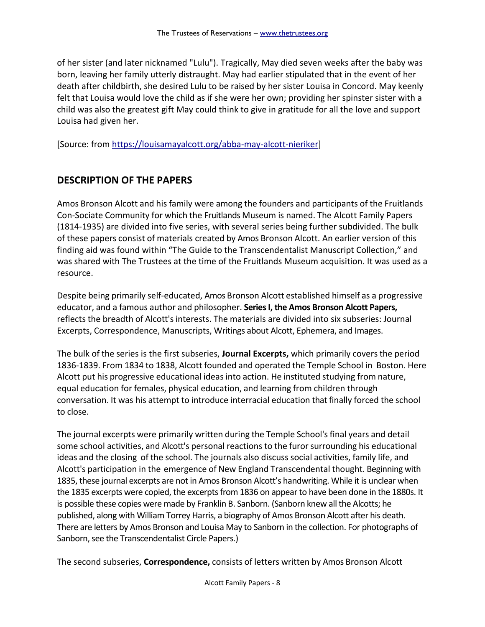of her sister (and later nicknamed "Lulu"). Tragically, May died seven weeks after the baby was born, leaving her family utterly distraught. May had earlier stipulated that in the event of her death after childbirth, she desired Lulu to be raised by her sister Louisa in Concord. May keenly felt that Louisa would love the child as if she were her own; providing her spinster sister with a child was also the greatest gift May could think to give in gratitude for all the love and support Louisa had given her.

[Source: from [https://louisamayalcott.org/abba-may-alcott-nieriker\]](https://louisamayalcott.org/abba-may-alcott-nieriker)

## **DESCRIPTION OF THE PAPERS**

Amos Bronson Alcott and his family were among the founders and participants of the Fruitlands Con-Sociate Community for which the Fruitlands Museum is named. The Alcott Family Papers (1814-1935) are divided into five series, with several series being further subdivided. The bulk of these papers consist of materials created by Amos Bronson Alcott. An earlier version of this finding aid was found within "The Guide to the Transcendentalist Manuscript Collection," and was shared with The Trustees at the time of the Fruitlands Museum acquisition. It was used as a resource.

Despite being primarily self-educated, Amos Bronson Alcott established himself as a progressive educator, and a famous author and philosopher. **Series I, the Amos Bronson Alcott Papers,** reflects the breadth of Alcott's interests. The materials are divided into six subseries: Journal Excerpts, Correspondence, Manuscripts, Writings about Alcott, Ephemera, and Images.

The bulk of the series is the first subseries, **Journal Excerpts,** which primarily covers the period 1836-1839. From 1834 to 1838, Alcott founded and operated the Temple School in Boston. Here Alcott put his progressive educational ideas into action. He instituted studying from nature, equal education for females, physical education, and learning from children through conversation. It was his attempt to introduce interracial education that finally forced the school to close.

The journal excerpts were primarily written during the Temple School's final years and detail some school activities, and Alcott's personal reactions to the furor surrounding his educational ideas and the closing of the school. The journals also discuss social activities, family life, and Alcott's participation in the emergence of New England Transcendental thought. Beginning with 1835, these journal excerpts are not in Amos Bronson Alcott's handwriting. While it is unclear when the 1835 excerpts were copied, the excerpts from 1836 on appear to have been done in the 1880s. It is possible these copies were made by Franklin B. Sanborn. (Sanborn knew all the Alcotts; he published, along with William Torrey Harris, a biography of Amos Bronson Alcott after his death. There are letters by Amos Bronson and Louisa May to Sanborn in the collection. For photographs of Sanborn, see the Transcendentalist Circle Papers.)

The second subseries, **Correspondence,** consists of letters written by Amos Bronson Alcott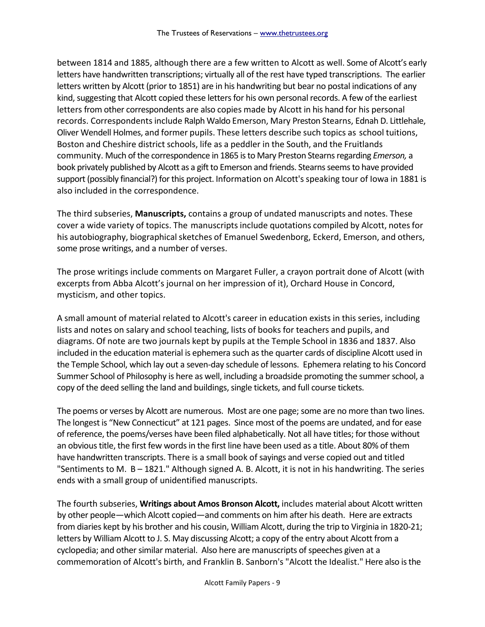between 1814 and 1885, although there are a few written to Alcott as well. Some of Alcott's early letters have handwritten transcriptions; virtually all of the rest have typed transcriptions. The earlier letters written by Alcott (prior to 1851) are in his handwriting but bear no postal indications of any kind, suggesting that Alcott copied these letters for his own personal records. A few of the earliest letters from other correspondents are also copies made by Alcott in his hand for his personal records. Correspondents include Ralph Waldo Emerson, Mary Preston Stearns, Ednah D. Littlehale, Oliver Wendell Holmes, and former pupils. These letters describe such topics as school tuitions, Boston and Cheshire district schools, life as a peddler in the South, and the Fruitlands community. Much of the correspondence in 1865 is to Mary Preston Stearns regarding *Emerson,* a book privately published by Alcott as a gift to Emerson and friends. Stearns seems to have provided support (possibly financial?) for this project. Information on Alcott's speaking tour of Iowa in 1881 is also included in the correspondence.

The third subseries, **Manuscripts,** contains a group of undated manuscripts and notes. These cover a wide variety of topics. The manuscripts include quotations compiled by Alcott, notes for his autobiography, biographical sketches of Emanuel Swedenborg, Eckerd, Emerson, and others, some prose writings, and a number of verses.

The prose writings include comments on Margaret Fuller, a crayon portrait done of Alcott (with excerpts from Abba Alcott's journal on her impression of it), Orchard House in Concord, mysticism, and other topics.

A small amount of material related to Alcott's career in education exists in this series, including lists and notes on salary and school teaching, lists of books for teachers and pupils, and diagrams. Of note are two journals kept by pupils at the Temple School in 1836 and 1837. Also included in the education material is ephemera such as the quarter cards of discipline Alcott used in the Temple School, which lay out a seven-day schedule of lessons. Ephemera relating to his Concord Summer School of Philosophy is here as well, including a broadside promoting the summer school, a copy of the deed selling the land and buildings, single tickets, and full course tickets.

The poems or verses by Alcott are numerous. Most are one page; some are no more than two lines. The longest is "New Connecticut" at 121 pages. Since most of the poems are undated, and for ease of reference, the poems/verses have been filed alphabetically. Not all have titles; for those without an obvious title, the first few words in the first line have been used as a title. About 80% of them have handwritten transcripts. There is a small book of sayings and verse copied out and titled "Sentiments to M. B – 1821." Although signed A. B. Alcott, it is not in his handwriting. The series ends with a small group of unidentified manuscripts.

The fourth subseries, **Writings about Amos Bronson Alcott,** includes material about Alcott written by other people—which Alcott copied—and comments on him after his death. Here are extracts from diaries kept by his brother and his cousin, William Alcott, during the trip to Virginia in 1820-21; letters by William Alcott to J. S. May discussing Alcott; a copy of the entry about Alcott from a cyclopedia; and other similar material. Also here are manuscripts of speeches given at a commemoration of Alcott's birth, and Franklin B. Sanborn's "Alcott the Idealist." Here also is the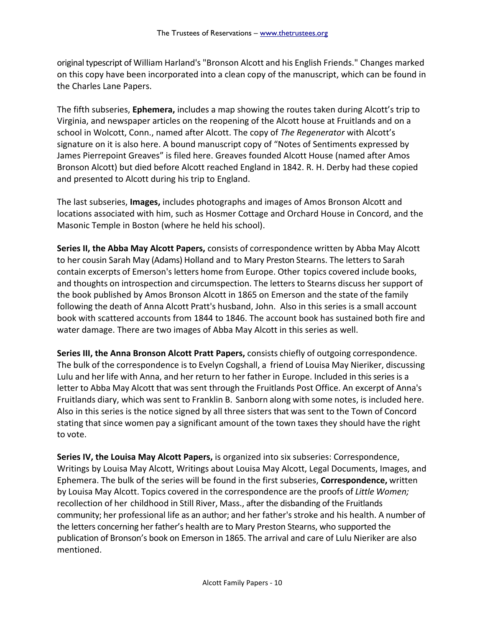original typescript of William Harland's "Bronson Alcott and his English Friends." Changes marked on this copy have been incorporated into a clean copy of the manuscript, which can be found in the Charles Lane Papers.

The fifth subseries, **Ephemera,** includes a map showing the routes taken during Alcott's trip to Virginia, and newspaper articles on the reopening of the Alcott house at Fruitlands and on a school in Wolcott, Conn., named after Alcott. The copy of *The Regenerator* with Alcott's signature on it is also here. A bound manuscript copy of "Notes of Sentiments expressed by James Pierrepoint Greaves" is filed here. Greaves founded Alcott House (named after Amos Bronson Alcott) but died before Alcott reached England in 1842. R. H. Derby had these copied and presented to Alcott during his trip to England.

The last subseries, **Images,** includes photographs and images of Amos Bronson Alcott and locations associated with him, such as Hosmer Cottage and Orchard House in Concord, and the Masonic Temple in Boston (where he held his school).

**Series II, the Abba May Alcott Papers,** consists of correspondence written by Abba May Alcott to her cousin Sarah May (Adams) Holland and to Mary Preston Stearns. The letters to Sarah contain excerpts of Emerson's letters home from Europe. Other topics covered include books, and thoughts on introspection and circumspection. The letters to Stearns discuss her support of the book published by Amos Bronson Alcott in 1865 on Emerson and the state of the family following the death of Anna Alcott Pratt's husband, John. Also in this series is a small account book with scattered accounts from 1844 to 1846. The account book has sustained both fire and water damage. There are two images of Abba May Alcott in this series as well.

**Series III, the Anna Bronson Alcott Pratt Papers,** consists chiefly of outgoing correspondence. The bulk of the correspondence is to Evelyn Cogshall, a friend of Louisa May Nieriker, discussing Lulu and her life with Anna, and her return to her father in Europe. Included in this series is a letter to Abba May Alcott that was sent through the Fruitlands Post Office. An excerpt of Anna's Fruitlands diary, which was sent to Franklin B. Sanborn along with some notes, is included here. Also in this series is the notice signed by all three sisters that was sent to the Town of Concord stating that since women pay a significant amount of the town taxes they should have the right to vote.

**Series IV, the Louisa May Alcott Papers,** is organized into six subseries: Correspondence, Writings by Louisa May Alcott, Writings about Louisa May Alcott, Legal Documents, Images, and Ephemera. The bulk of the series will be found in the first subseries, **Correspondence,** written by Louisa May Alcott. Topics covered in the correspondence are the proofs of *Little Women;* recollection of her childhood in Still River, Mass., after the disbanding of the Fruitlands community; her professional life as an author; and her father's stroke and his health. A number of the letters concerning her father's health are to Mary Preston Stearns, who supported the publication of Bronson's book on Emerson in 1865. The arrival and care of Lulu Nieriker are also mentioned.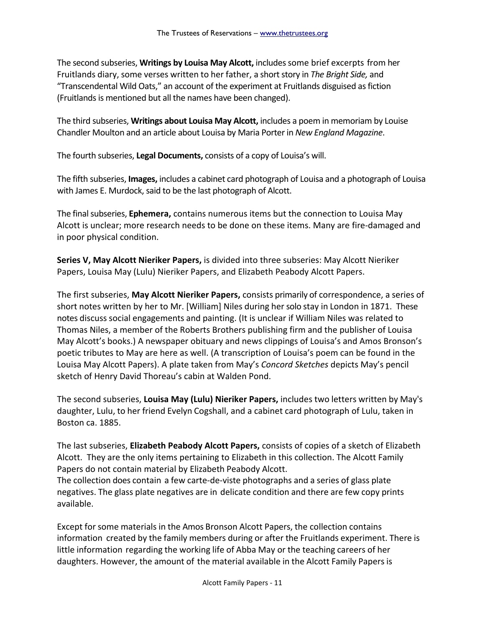The second subseries, **Writings by Louisa May Alcott,** includessome brief excerpts from her Fruitlands diary, some verses written to her father, a short story in *The Bright Side,* and "Transcendental Wild Oats," an account of the experiment at Fruitlands disguised as fiction (Fruitlands is mentioned but all the names have been changed).

The third subseries, **Writings about Louisa May Alcott,** includes a poem in memoriam by Louise Chandler Moulton and an article about Louisa by Maria Porter in *New England Magazine*.

The fourth subseries, **Legal Documents,** consists of a copy of Louisa's will.

The fifth subseries, **Images,** includes a cabinet card photograph of Louisa and a photograph of Louisa with James E. Murdock, said to be the last photograph of Alcott.

The final subseries, **Ephemera,** contains numerous items but the connection to Louisa May Alcott is unclear; more research needs to be done on these items. Many are fire-damaged and in poor physical condition.

**Series V, May Alcott Nieriker Papers,** is divided into three subseries: May Alcott Nieriker Papers, Louisa May (Lulu) Nieriker Papers, and Elizabeth Peabody Alcott Papers.

The first subseries, **May Alcott Nieriker Papers,** consists primarily of correspondence, a series of short notes written by her to Mr. [William] Niles during her solo stay in London in 1871. These notes discuss social engagements and painting. (It is unclear if William Niles was related to Thomas Niles, a member of the Roberts Brothers publishing firm and the publisher of Louisa May Alcott's books.) A newspaper obituary and news clippings of Louisa's and Amos Bronson's poetic tributes to May are here as well. (A transcription of Louisa's poem can be found in the Louisa May Alcott Papers). A plate taken from May's *Concord Sketches* depicts May's pencil sketch of Henry David Thoreau's cabin at Walden Pond.

The second subseries, **Louisa May (Lulu) Nieriker Papers,** includes two letters written by May's daughter, Lulu, to her friend Evelyn Cogshall, and a cabinet card photograph of Lulu, taken in Boston ca. 1885.

The last subseries, **Elizabeth Peabody Alcott Papers,** consists of copies of a sketch of Elizabeth Alcott. They are the only items pertaining to Elizabeth in this collection. The Alcott Family Papers do not contain material by Elizabeth Peabody Alcott.

The collection does contain a few carte-de-viste photographs and a series of glass plate negatives. The glass plate negatives are in delicate condition and there are few copy prints available.

Except for some materials in the Amos Bronson Alcott Papers, the collection contains information created by the family members during or after the Fruitlands experiment. There is little information regarding the working life of Abba May or the teaching careers of her daughters. However, the amount of the material available in the Alcott Family Papers is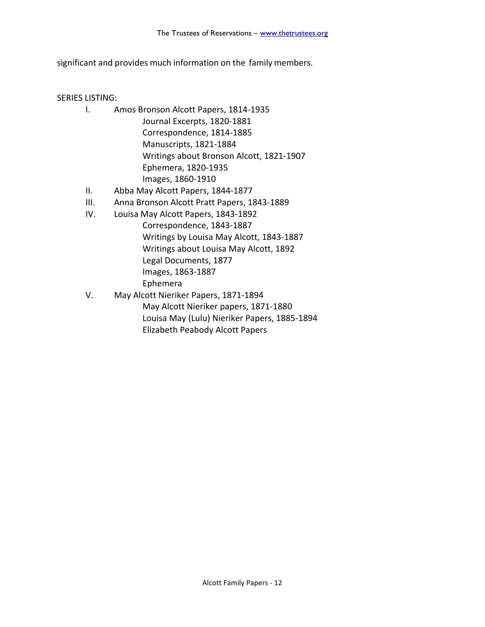significant and provides much information on the family members.

SERIES LISTING:

- I. Amos Bronson Alcott Papers, 1814-1935 Journal Excerpts, 1820-1881 Correspondence, 1814-1885 Manuscripts, 1821-1884 Writings about Bronson Alcott, 1821-1907 Ephemera, 1820-1935 Images, 1860-1910
- II. Abba May Alcott Papers, 1844-1877
- III. Anna Bronson Alcott Pratt Papers, 1843-1889
- IV. Louisa May Alcott Papers, 1843-1892 Correspondence, 1843-1887 Writings by Louisa May Alcott, 1843-1887 Writings about Louisa May Alcott, 1892 Legal Documents, 1877 Images, 1863-1887 Ephemera
- V. May Alcott Nieriker Papers, 1871-1894 May Alcott Nieriker papers, 1871-1880 Louisa May (Lulu) Nieriker Papers, 1885-1894 Elizabeth Peabody Alcott Papers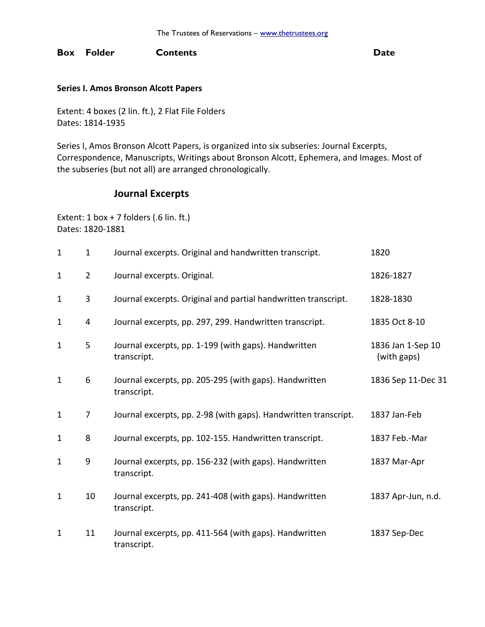#### **Box Folder Contents Date**

#### **Series I. Amos Bronson Alcott Papers**

Extent: 4 boxes (2 lin. ft.), 2 Flat File Folders Dates: 1814-1935

Series I, Amos Bronson Alcott Papers, is organized into six subseries: Journal Excerpts, Correspondence, Manuscripts, Writings about Bronson Alcott, Ephemera, and Images. Most of the subseries (but not all) are arranged chronologically.

## **Journal Excerpts**

Extent:  $1$  box + 7 folders (.6 lin. ft.) Dates: 1820-1881

| $\mathbf{1}$ | $\mathbf{1}$   | Journal excerpts. Original and handwritten transcript.                | 1820                             |
|--------------|----------------|-----------------------------------------------------------------------|----------------------------------|
| $\mathbf{1}$ | $\overline{2}$ | Journal excerpts. Original.                                           | 1826-1827                        |
| $\mathbf{1}$ | 3              | Journal excerpts. Original and partial handwritten transcript.        | 1828-1830                        |
| $\mathbf{1}$ | 4              | Journal excerpts, pp. 297, 299. Handwritten transcript.               | 1835 Oct 8-10                    |
| $\mathbf{1}$ | 5              | Journal excerpts, pp. 1-199 (with gaps). Handwritten<br>transcript.   | 1836 Jan 1-Sep 10<br>(with gaps) |
| $\mathbf{1}$ | 6              | Journal excerpts, pp. 205-295 (with gaps). Handwritten<br>transcript. | 1836 Sep 11-Dec 31               |
| $\mathbf{1}$ | 7              | Journal excerpts, pp. 2-98 (with gaps). Handwritten transcript.       | 1837 Jan-Feb                     |
| $\mathbf{1}$ | 8              | Journal excerpts, pp. 102-155. Handwritten transcript.                | 1837 Feb.-Mar                    |
| $\mathbf{1}$ | 9              | Journal excerpts, pp. 156-232 (with gaps). Handwritten<br>transcript. | 1837 Mar-Apr                     |
| $\mathbf{1}$ | 10             | Journal excerpts, pp. 241-408 (with gaps). Handwritten<br>transcript. | 1837 Apr-Jun, n.d.               |
| $\mathbf{1}$ | 11             | Journal excerpts, pp. 411-564 (with gaps). Handwritten<br>transcript. | 1837 Sep-Dec                     |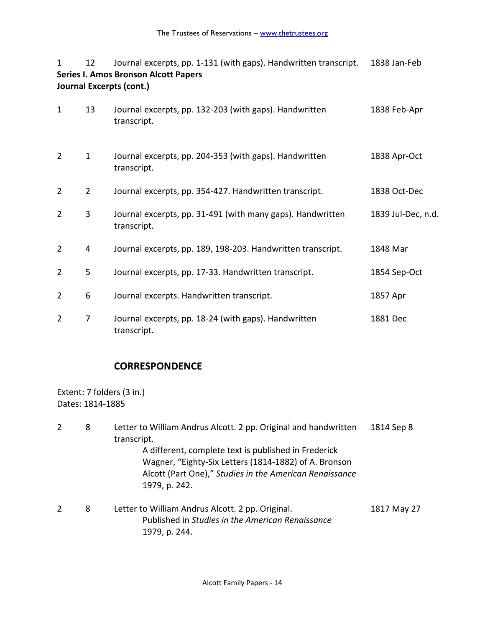| $\mathbf{1}$<br><b>Series I. Amos Bronson Alcott Papers</b><br>Journal Excerpts (cont.) | 1838 Jan-Feb   |                                                                           |                    |
|-----------------------------------------------------------------------------------------|----------------|---------------------------------------------------------------------------|--------------------|
| $\mathbf{1}$                                                                            | 13             | Journal excerpts, pp. 132-203 (with gaps). Handwritten<br>transcript.     | 1838 Feb-Apr       |
| $\overline{2}$                                                                          | $\mathbf{1}$   | Journal excerpts, pp. 204-353 (with gaps). Handwritten<br>transcript.     | 1838 Apr-Oct       |
| $\overline{2}$                                                                          | $\overline{2}$ | Journal excerpts, pp. 354-427. Handwritten transcript.                    | 1838 Oct-Dec       |
| $\overline{2}$                                                                          | 3              | Journal excerpts, pp. 31-491 (with many gaps). Handwritten<br>transcript. | 1839 Jul-Dec, n.d. |
| 2                                                                                       | 4              | Journal excerpts, pp. 189, 198-203. Handwritten transcript.               | 1848 Mar           |
| $\overline{2}$                                                                          | 5              | Journal excerpts, pp. 17-33. Handwritten transcript.                      | 1854 Sep-Oct       |
| $\overline{2}$                                                                          | 6              | Journal excerpts. Handwritten transcript.                                 | 1857 Apr           |
| $\overline{2}$                                                                          | $\overline{7}$ | Journal excerpts, pp. 18-24 (with gaps). Handwritten<br>transcript.       | 1881 Dec           |

### **CORRESPONDENCE**

1979, p. 244.

Extent: 7 folders (3 in.) Dates: 1814-1885

2 8 Letter to William Andrus Alcott. 2 pp. Original and handwritten 1814 Sep 8 transcript. A different, complete text is published in Frederick Wagner, "Eighty-Six Letters (1814-1882) of A. Bronson Alcott (Part One)," *Studies in the American Renaissance* 1979, p. 242. 2 8 Letter to William Andrus Alcott. 2 pp. Original. 1817 May 27 Published in *Studies in the American Renaissance*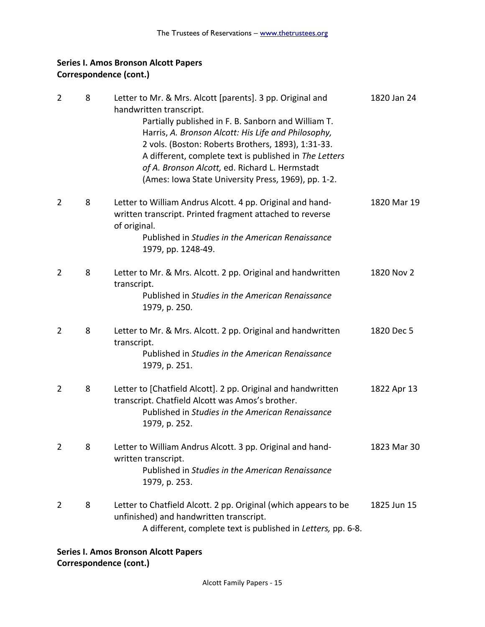| $\overline{2}$ | 8 | Letter to Mr. & Mrs. Alcott [parents]. 3 pp. Original and<br>handwritten transcript.<br>Partially published in F. B. Sanborn and William T.<br>Harris, A. Bronson Alcott: His Life and Philosophy,<br>2 vols. (Boston: Roberts Brothers, 1893), 1:31-33.<br>A different, complete text is published in The Letters<br>of A. Bronson Alcott, ed. Richard L. Hermstadt<br>(Ames: Iowa State University Press, 1969), pp. 1-2. | 1820 Jan 24 |
|----------------|---|-----------------------------------------------------------------------------------------------------------------------------------------------------------------------------------------------------------------------------------------------------------------------------------------------------------------------------------------------------------------------------------------------------------------------------|-------------|
| 2              | 8 | Letter to William Andrus Alcott. 4 pp. Original and hand-<br>written transcript. Printed fragment attached to reverse<br>of original.<br>Published in Studies in the American Renaissance<br>1979, pp. 1248-49.                                                                                                                                                                                                             | 1820 Mar 19 |
| $\overline{2}$ | 8 | Letter to Mr. & Mrs. Alcott. 2 pp. Original and handwritten<br>transcript.<br>Published in Studies in the American Renaissance<br>1979, p. 250.                                                                                                                                                                                                                                                                             | 1820 Nov 2  |
| $\overline{2}$ | 8 | Letter to Mr. & Mrs. Alcott. 2 pp. Original and handwritten<br>transcript.<br>Published in Studies in the American Renaissance<br>1979, p. 251.                                                                                                                                                                                                                                                                             | 1820 Dec 5  |
| $\overline{2}$ | 8 | Letter to [Chatfield Alcott]. 2 pp. Original and handwritten<br>transcript. Chatfield Alcott was Amos's brother.<br>Published in Studies in the American Renaissance<br>1979, p. 252.                                                                                                                                                                                                                                       | 1822 Apr 13 |
| 2              | 8 | Letter to William Andrus Alcott. 3 pp. Original and hand-<br>written transcript.<br>Published in Studies in the American Renaissance<br>1979, p. 253.                                                                                                                                                                                                                                                                       | 1823 Mar 30 |
| $\overline{2}$ | 8 | Letter to Chatfield Alcott. 2 pp. Original (which appears to be<br>unfinished) and handwritten transcript.<br>A different, complete text is published in Letters, pp. 6-8.                                                                                                                                                                                                                                                  | 1825 Jun 15 |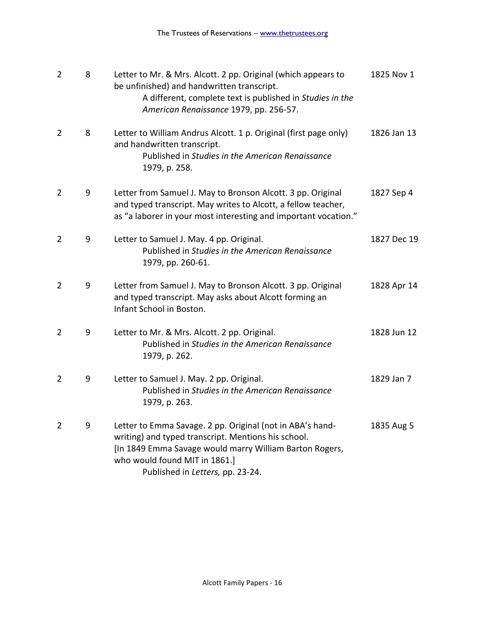| $\overline{2}$ | 8 | Letter to Mr. & Mrs. Alcott. 2 pp. Original (which appears to<br>be unfinished) and handwritten transcript.<br>A different, complete text is published in Studies in the<br>American Renaissance 1979, pp. 256-57.                               | 1825 Nov 1  |
|----------------|---|--------------------------------------------------------------------------------------------------------------------------------------------------------------------------------------------------------------------------------------------------|-------------|
| $\overline{2}$ | 8 | Letter to William Andrus Alcott. 1 p. Original (first page only)<br>and handwritten transcript.<br>Published in Studies in the American Renaissance<br>1979, p. 258.                                                                             | 1826 Jan 13 |
| $\overline{2}$ | 9 | Letter from Samuel J. May to Bronson Alcott. 3 pp. Original<br>and typed transcript. May writes to Alcott, a fellow teacher,<br>as "a laborer in your most interesting and important vocation."                                                  | 1827 Sep 4  |
| 2              | 9 | Letter to Samuel J. May. 4 pp. Original.<br>Published in Studies in the American Renaissance<br>1979, pp. 260-61.                                                                                                                                | 1827 Dec 19 |
| $\overline{2}$ | 9 | Letter from Samuel J. May to Bronson Alcott. 3 pp. Original<br>and typed transcript. May asks about Alcott forming an<br>Infant School in Boston.                                                                                                | 1828 Apr 14 |
| $\overline{2}$ | 9 | Letter to Mr. & Mrs. Alcott. 2 pp. Original.<br>Published in Studies in the American Renaissance<br>1979, p. 262.                                                                                                                                | 1828 Jun 12 |
| $\overline{2}$ | 9 | Letter to Samuel J. May. 2 pp. Original.<br>Published in Studies in the American Renaissance<br>1979, p. 263.                                                                                                                                    | 1829 Jan 7  |
| $\overline{2}$ | 9 | Letter to Emma Savage. 2 pp. Original (not in ABA's hand-<br>writing) and typed transcript. Mentions his school.<br>[In 1849 Emma Savage would marry William Barton Rogers,<br>who would found MIT in 1861.]<br>Published in Letters, pp. 23-24. | 1835 Aug 5  |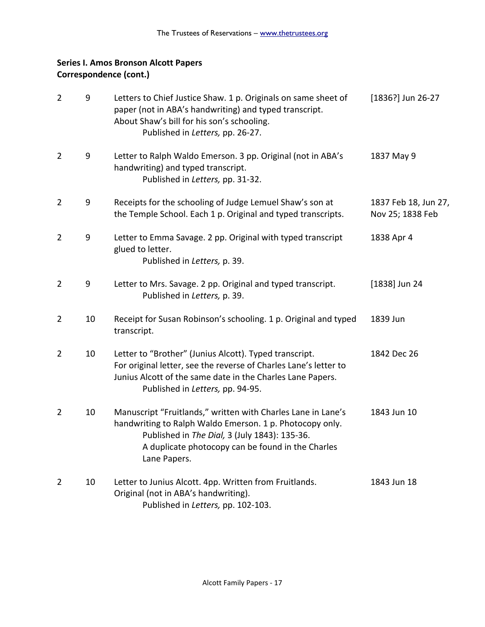| $\overline{2}$ | 9  | Letters to Chief Justice Shaw. 1 p. Originals on same sheet of<br>paper (not in ABA's handwriting) and typed transcript.<br>About Shaw's bill for his son's schooling.<br>Published in Letters, pp. 26-27.                                     | [1836?] Jun 26-27                        |
|----------------|----|------------------------------------------------------------------------------------------------------------------------------------------------------------------------------------------------------------------------------------------------|------------------------------------------|
| 2              | 9  | Letter to Ralph Waldo Emerson. 3 pp. Original (not in ABA's<br>handwriting) and typed transcript.<br>Published in Letters, pp. 31-32.                                                                                                          | 1837 May 9                               |
| 2              | 9  | Receipts for the schooling of Judge Lemuel Shaw's son at<br>the Temple School. Each 1 p. Original and typed transcripts.                                                                                                                       | 1837 Feb 18, Jun 27,<br>Nov 25; 1838 Feb |
| $\overline{2}$ | 9  | Letter to Emma Savage. 2 pp. Original with typed transcript<br>glued to letter.<br>Published in Letters, p. 39.                                                                                                                                | 1838 Apr 4                               |
| $\overline{2}$ | 9  | Letter to Mrs. Savage. 2 pp. Original and typed transcript.<br>Published in Letters, p. 39.                                                                                                                                                    | $[1838]$ Jun 24                          |
| $\overline{2}$ | 10 | Receipt for Susan Robinson's schooling. 1 p. Original and typed<br>transcript.                                                                                                                                                                 | 1839 Jun                                 |
| $\overline{2}$ | 10 | Letter to "Brother" (Junius Alcott). Typed transcript.<br>For original letter, see the reverse of Charles Lane's letter to<br>Junius Alcott of the same date in the Charles Lane Papers.<br>Published in Letters, pp. 94-95.                   | 1842 Dec 26                              |
| $\overline{2}$ | 10 | Manuscript "Fruitlands," written with Charles Lane in Lane's<br>handwriting to Ralph Waldo Emerson. 1 p. Photocopy only.<br>Published in The Dial, 3 (July 1843): 135-36.<br>A duplicate photocopy can be found in the Charles<br>Lane Papers. | 1843 Jun 10                              |
| $\overline{2}$ | 10 | Letter to Junius Alcott. 4pp. Written from Fruitlands.<br>Original (not in ABA's handwriting).<br>Published in Letters, pp. 102-103.                                                                                                           | 1843 Jun 18                              |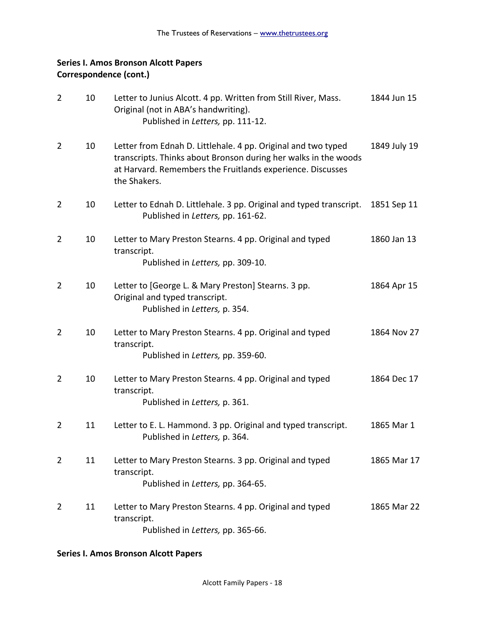| $\overline{2}$ | 10 | Letter to Junius Alcott. 4 pp. Written from Still River, Mass.<br>Original (not in ABA's handwriting).<br>Published in Letters, pp. 111-12.                                                                    | 1844 Jun 15  |
|----------------|----|----------------------------------------------------------------------------------------------------------------------------------------------------------------------------------------------------------------|--------------|
| 2              | 10 | Letter from Ednah D. Littlehale. 4 pp. Original and two typed<br>transcripts. Thinks about Bronson during her walks in the woods<br>at Harvard. Remembers the Fruitlands experience. Discusses<br>the Shakers. | 1849 July 19 |
| 2              | 10 | Letter to Ednah D. Littlehale. 3 pp. Original and typed transcript.<br>Published in Letters, pp. 161-62.                                                                                                       | 1851 Sep 11  |
| $\overline{2}$ | 10 | Letter to Mary Preston Stearns. 4 pp. Original and typed<br>transcript.<br>Published in Letters, pp. 309-10.                                                                                                   | 1860 Jan 13  |
| $\overline{2}$ | 10 | Letter to [George L. & Mary Preston] Stearns. 3 pp.<br>Original and typed transcript.<br>Published in Letters, p. 354.                                                                                         | 1864 Apr 15  |
| $\overline{2}$ | 10 | Letter to Mary Preston Stearns. 4 pp. Original and typed<br>transcript.<br>Published in Letters, pp. 359-60.                                                                                                   | 1864 Nov 27  |
| $\overline{2}$ | 10 | Letter to Mary Preston Stearns. 4 pp. Original and typed<br>transcript.<br>Published in Letters, p. 361.                                                                                                       | 1864 Dec 17  |
| $\overline{2}$ | 11 | Letter to E. L. Hammond. 3 pp. Original and typed transcript.<br>Published in Letters, p. 364.                                                                                                                 | 1865 Mar 1   |
| $\overline{2}$ | 11 | Letter to Mary Preston Stearns. 3 pp. Original and typed<br>transcript.<br>Published in Letters, pp. 364-65.                                                                                                   | 1865 Mar 17  |
| 2              | 11 | Letter to Mary Preston Stearns. 4 pp. Original and typed<br>transcript.<br>Published in Letters, pp. 365-66.                                                                                                   | 1865 Mar 22  |

### **Series I. Amos Bronson Alcott Papers**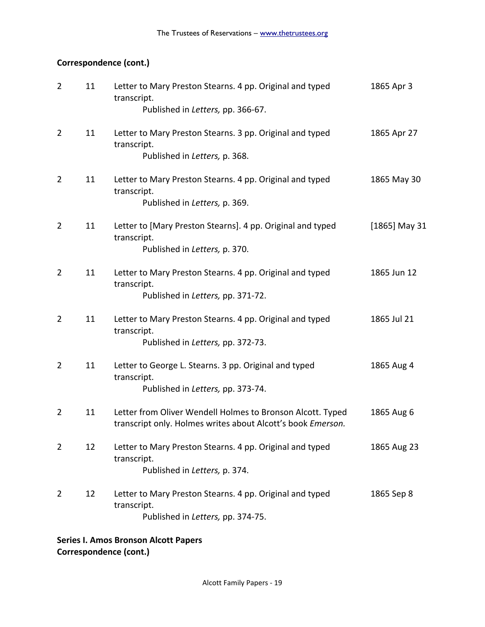# **Correspondence (cont.)**

| $\overline{2}$ | 11 | Letter to Mary Preston Stearns. 4 pp. Original and typed<br>transcript.<br>Published in Letters, pp. 366-67.              | 1865 Apr 3      |
|----------------|----|---------------------------------------------------------------------------------------------------------------------------|-----------------|
| $\overline{2}$ | 11 | Letter to Mary Preston Stearns. 3 pp. Original and typed<br>transcript.<br>Published in Letters, p. 368.                  | 1865 Apr 27     |
| 2              | 11 | Letter to Mary Preston Stearns. 4 pp. Original and typed<br>transcript.<br>Published in Letters, p. 369.                  | 1865 May 30     |
| $\overline{2}$ | 11 | Letter to [Mary Preston Stearns]. 4 pp. Original and typed<br>transcript.<br>Published in Letters, p. 370.                | $[1865]$ May 31 |
| $\overline{2}$ | 11 | Letter to Mary Preston Stearns. 4 pp. Original and typed<br>transcript.<br>Published in Letters, pp. 371-72.              | 1865 Jun 12     |
| $\overline{2}$ | 11 | Letter to Mary Preston Stearns. 4 pp. Original and typed<br>transcript.<br>Published in Letters, pp. 372-73.              | 1865 Jul 21     |
| $\overline{2}$ | 11 | Letter to George L. Stearns. 3 pp. Original and typed<br>transcript.<br>Published in Letters, pp. 373-74.                 | 1865 Aug 4      |
| 2              | 11 | Letter from Oliver Wendell Holmes to Bronson Alcott. Typed<br>transcript only. Holmes writes about Alcott's book Emerson. | 1865 Aug 6      |
| 2              | 12 | Letter to Mary Preston Stearns. 4 pp. Original and typed<br>transcript.<br>Published in Letters, p. 374.                  | 1865 Aug 23     |
| 2              | 12 | Letter to Mary Preston Stearns. 4 pp. Original and typed<br>transcript.<br>Published in Letters, pp. 374-75.              | 1865 Sep 8      |
|                |    |                                                                                                                           |                 |

**Series I. Amos Bronson Alcott Papers Correspondence (cont.)**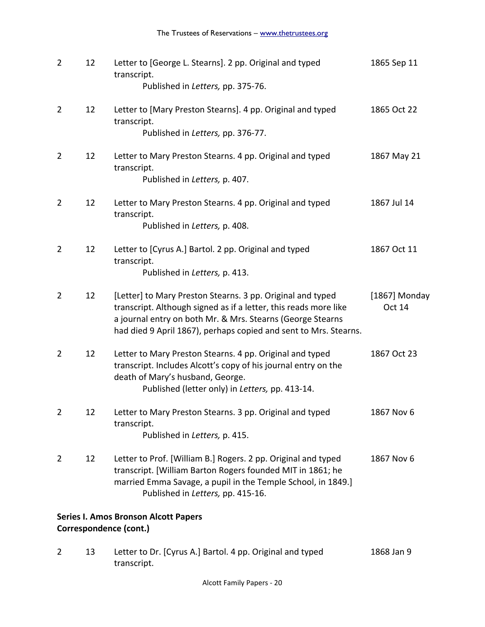| $\overline{2}$ | 12                                                                    | Letter to [George L. Stearns]. 2 pp. Original and typed<br>transcript.<br>Published in Letters, pp. 375-76.                                                                                                                                                      | 1865 Sep 11                    |  |  |  |  |
|----------------|-----------------------------------------------------------------------|------------------------------------------------------------------------------------------------------------------------------------------------------------------------------------------------------------------------------------------------------------------|--------------------------------|--|--|--|--|
| $\overline{2}$ | 12                                                                    | Letter to [Mary Preston Stearns]. 4 pp. Original and typed<br>transcript.<br>Published in Letters, pp. 376-77.                                                                                                                                                   | 1865 Oct 22                    |  |  |  |  |
| $\overline{2}$ | 12                                                                    | Letter to Mary Preston Stearns. 4 pp. Original and typed<br>transcript.<br>Published in Letters, p. 407.                                                                                                                                                         | 1867 May 21                    |  |  |  |  |
| $\overline{2}$ | 12                                                                    | Letter to Mary Preston Stearns. 4 pp. Original and typed<br>transcript.<br>Published in Letters, p. 408.                                                                                                                                                         | 1867 Jul 14                    |  |  |  |  |
| $\overline{2}$ | 12                                                                    | Letter to [Cyrus A.] Bartol. 2 pp. Original and typed<br>transcript.<br>Published in Letters, p. 413.                                                                                                                                                            | 1867 Oct 11                    |  |  |  |  |
| $\overline{2}$ | 12                                                                    | [Letter] to Mary Preston Stearns. 3 pp. Original and typed<br>transcript. Although signed as if a letter, this reads more like<br>a journal entry on both Mr. & Mrs. Stearns (George Stearns<br>had died 9 April 1867), perhaps copied and sent to Mrs. Stearns. | [1867] Monday<br><b>Oct 14</b> |  |  |  |  |
| 2              | 12                                                                    | Letter to Mary Preston Stearns. 4 pp. Original and typed<br>transcript. Includes Alcott's copy of his journal entry on the<br>death of Mary's husband, George.<br>Published (letter only) in Letters, pp. 413-14.                                                | 1867 Oct 23                    |  |  |  |  |
| $\overline{2}$ | 12                                                                    | Letter to Mary Preston Stearns. 3 pp. Original and typed<br>transcript.<br>Published in Letters, p. 415.                                                                                                                                                         | 1867 Nov 6                     |  |  |  |  |
| $\overline{2}$ | 12                                                                    | Letter to Prof. [William B.] Rogers. 2 pp. Original and typed<br>transcript. [William Barton Rogers founded MIT in 1861; he<br>married Emma Savage, a pupil in the Temple School, in 1849.]<br>Published in Letters, pp. 415-16.                                 | 1867 Nov 6                     |  |  |  |  |
|                | <b>Series I. Amos Bronson Alcott Papers</b><br>Correspondence (cont.) |                                                                                                                                                                                                                                                                  |                                |  |  |  |  |

2 13 Letter to Dr. [Cyrus A.] Bartol. 4 pp. Original and typed 1868 Jan 9 transcript.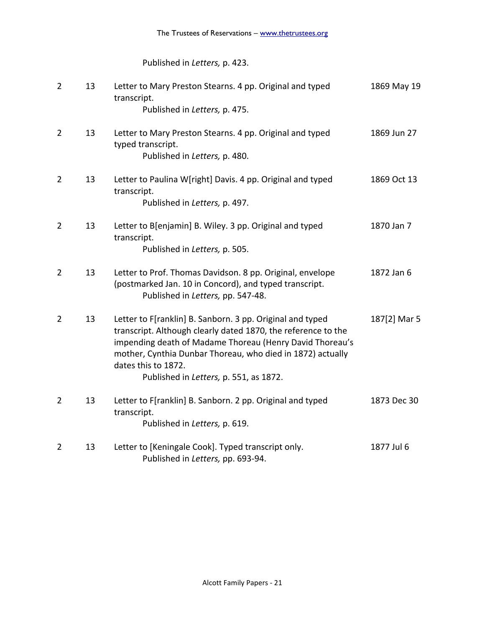Published in *Letters,* p. 423.

| $\overline{2}$ | 13 | Letter to Mary Preston Stearns. 4 pp. Original and typed<br>transcript.<br>Published in Letters, p. 475.                                                                                                                                                                                                              | 1869 May 19  |
|----------------|----|-----------------------------------------------------------------------------------------------------------------------------------------------------------------------------------------------------------------------------------------------------------------------------------------------------------------------|--------------|
| $\overline{2}$ | 13 | Letter to Mary Preston Stearns. 4 pp. Original and typed<br>typed transcript.<br>Published in Letters, p. 480.                                                                                                                                                                                                        | 1869 Jun 27  |
| $\overline{2}$ | 13 | Letter to Paulina W[right] Davis. 4 pp. Original and typed<br>transcript.<br>Published in Letters, p. 497.                                                                                                                                                                                                            | 1869 Oct 13  |
| $\overline{2}$ | 13 | Letter to B[enjamin] B. Wiley. 3 pp. Original and typed<br>transcript.<br>Published in Letters, p. 505.                                                                                                                                                                                                               | 1870 Jan 7   |
| $\overline{2}$ | 13 | Letter to Prof. Thomas Davidson. 8 pp. Original, envelope<br>(postmarked Jan. 10 in Concord), and typed transcript.<br>Published in Letters, pp. 547-48.                                                                                                                                                              | 1872 Jan 6   |
| $\overline{2}$ | 13 | Letter to F[ranklin] B. Sanborn. 3 pp. Original and typed<br>transcript. Although clearly dated 1870, the reference to the<br>impending death of Madame Thoreau (Henry David Thoreau's<br>mother, Cynthia Dunbar Thoreau, who died in 1872) actually<br>dates this to 1872.<br>Published in Letters, p. 551, as 1872. | 187[2] Mar 5 |
| $\overline{2}$ | 13 | Letter to F[ranklin] B. Sanborn. 2 pp. Original and typed<br>transcript.<br>Published in Letters, p. 619.                                                                                                                                                                                                             | 1873 Dec 30  |
| $\overline{2}$ | 13 | Letter to [Keningale Cook]. Typed transcript only.<br>Published in Letters, pp. 693-94.                                                                                                                                                                                                                               | 1877 Jul 6   |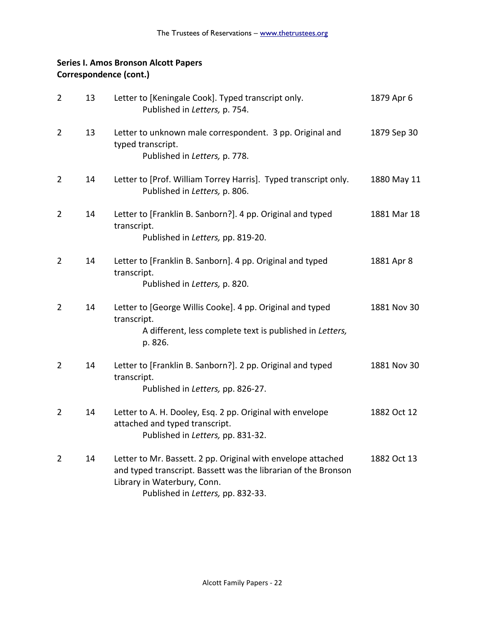| $\overline{2}$ | 13 | Letter to [Keningale Cook]. Typed transcript only.<br>Published in Letters, p. 754.                                                                                                                | 1879 Apr 6  |
|----------------|----|----------------------------------------------------------------------------------------------------------------------------------------------------------------------------------------------------|-------------|
| $\overline{2}$ | 13 | Letter to unknown male correspondent. 3 pp. Original and<br>typed transcript.<br>Published in Letters, p. 778.                                                                                     | 1879 Sep 30 |
| 2              | 14 | Letter to [Prof. William Torrey Harris]. Typed transcript only.<br>Published in Letters, p. 806.                                                                                                   | 1880 May 11 |
| $\overline{2}$ | 14 | Letter to [Franklin B. Sanborn?]. 4 pp. Original and typed<br>transcript.<br>Published in Letters, pp. 819-20.                                                                                     | 1881 Mar 18 |
| $\overline{2}$ | 14 | Letter to [Franklin B. Sanborn]. 4 pp. Original and typed<br>transcript.<br>Published in Letters, p. 820.                                                                                          | 1881 Apr 8  |
| $\overline{2}$ | 14 | Letter to [George Willis Cooke]. 4 pp. Original and typed<br>transcript.<br>A different, less complete text is published in Letters,<br>p. 826.                                                    | 1881 Nov 30 |
| $\overline{2}$ | 14 | Letter to [Franklin B. Sanborn?]. 2 pp. Original and typed<br>transcript.<br>Published in Letters, pp. 826-27.                                                                                     | 1881 Nov 30 |
| $\overline{2}$ | 14 | Letter to A. H. Dooley, Esq. 2 pp. Original with envelope<br>attached and typed transcript.<br>Published in Letters, pp. 831-32.                                                                   | 1882 Oct 12 |
| $\overline{2}$ | 14 | Letter to Mr. Bassett. 2 pp. Original with envelope attached<br>and typed transcript. Bassett was the librarian of the Bronson<br>Library in Waterbury, Conn.<br>Published in Letters, pp. 832-33. | 1882 Oct 13 |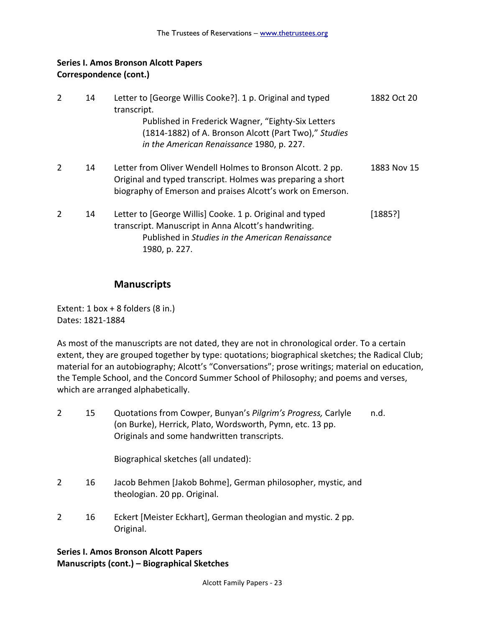| $\mathcal{P}$ | 14 | Letter to [George Willis Cooke?]. 1 p. Original and typed<br>transcript.<br>Published in Frederick Wagner, "Eighty-Six Letters<br>(1814-1882) of A. Bronson Alcott (Part Two)," Studies<br>in the American Renaissance 1980, p. 227. | 1882 Oct 20 |
|---------------|----|--------------------------------------------------------------------------------------------------------------------------------------------------------------------------------------------------------------------------------------|-------------|
| 2             | 14 | Letter from Oliver Wendell Holmes to Bronson Alcott. 2 pp.<br>Original and typed transcript. Holmes was preparing a short<br>biography of Emerson and praises Alcott's work on Emerson.                                              | 1883 Nov 15 |
| 2             | 14 | Letter to [George Willis] Cooke. 1 p. Original and typed<br>transcript. Manuscript in Anna Alcott's handwriting.<br>Published in Studies in the American Renaissance<br>1980, p. 227.                                                | [1885?]     |

### **Manuscripts**

Extent:  $1$  box +  $8$  folders ( $8$  in.) Dates: 1821-1884

As most of the manuscripts are not dated, they are not in chronological order. To a certain extent, they are grouped together by type: quotations; biographical sketches; the Radical Club; material for an autobiography; Alcott's "Conversations"; prose writings; material on education, the Temple School, and the Concord Summer School of Philosophy; and poems and verses, which are arranged alphabetically.

| 15 | Quotations from Cowper, Bunyan's Pilgrim's Progress, Carlyle | n.d. |
|----|--------------------------------------------------------------|------|
|    | (on Burke), Herrick, Plato, Wordsworth, Pymn, etc. 13 pp.    |      |
|    | Originals and some handwritten transcripts.                  |      |

Biographical sketches (all undated):

- 2 16 Jacob Behmen [Jakob Bohme], German philosopher, mystic, and theologian. 20 pp. Original.
- 2 16 Eckert [Meister Eckhart], German theologian and mystic. 2 pp. Original.

#### **Series I. Amos Bronson Alcott Papers Manuscripts (cont.) – Biographical Sketches**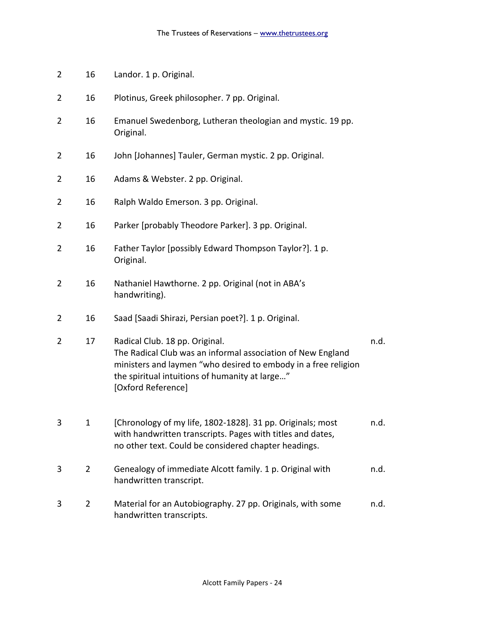- 2 16 Landor. 1 p. Original.
- 2 16 Plotinus, Greek philosopher. 7 pp. Original.
- 2 16 Emanuel Swedenborg, Lutheran theologian and mystic. 19 pp. Original.
- 2 16 John [Johannes] Tauler, German mystic. 2 pp. Original.
- 2 16 Adams & Webster. 2 pp. Original.
- 2 16 Ralph Waldo Emerson. 3 pp. Original.
- 2 16 Parker [probably Theodore Parker]. 3 pp. Original.
- 2 16 Father Taylor [possibly Edward Thompson Taylor?]. 1 p. Original.
- 2 16 Nathaniel Hawthorne. 2 pp. Original (not in ABA's handwriting).
- 2 16 Saad [Saadi Shirazi, Persian poet?]. 1 p. Original.
- 2 17 Radical Club. 18 pp. Original. 1 1 minutes of the control of the control of the control of the control of the control of the control of the control of the control of the control of the control of the control of the co The Radical Club was an informal association of New England ministers and laymen "who desired to embody in a free religion the spiritual intuitions of humanity at large…" [Oxford Reference]
- 3 1 [Chronology of my life, 1802-1828]. 31 pp. Originals; most n.d. with handwritten transcripts. Pages with titles and dates, no other text. Could be considered chapter headings.
- 3 2 Genealogy of immediate Alcott family. 1 p. Original with h.d. handwritten transcript.
- 3 2 Material for an Autobiography. 27 pp. Originals, with some n.d. handwritten transcripts.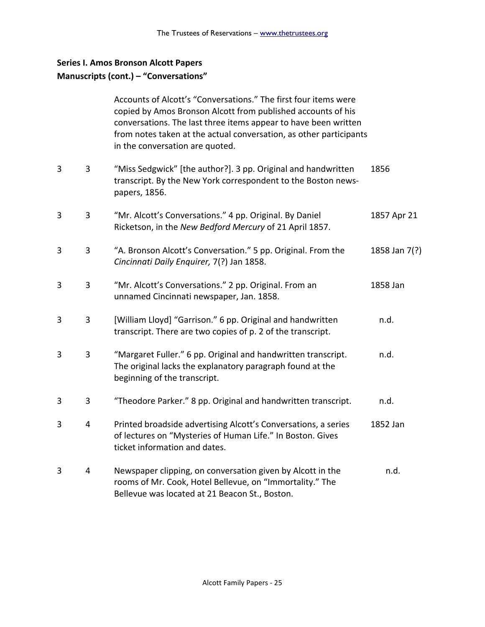### **Series I. Amos Bronson Alcott Papers**

#### **Manuscripts (cont.) – "Conversations"**

| Accounts of Alcott's "Conversations." The first four items were    |
|--------------------------------------------------------------------|
| copied by Amos Bronson Alcott from published accounts of his       |
| conversations. The last three items appear to have been written    |
| from notes taken at the actual conversation, as other participants |
| in the conversation are quoted.                                    |

- 3 3 "Miss Sedgwick" [the author?]. 3 pp. Original and handwritten 1856 transcript. By the New York correspondent to the Boston newspapers, 1856.
- 3 3 "Mr. Alcott's Conversations." 4 pp. Original. By Daniel 1857 Apr 21 Ricketson, in the *New Bedford Mercury* of 21 April 1857.
- 3 3 "A. Bronson Alcott's Conversation." 5 pp. Original. From the 1858 Jan 7(?) *Cincinnati Daily Enquirer,* 7(?) Jan 1858.
- 3 3 "Mr. Alcott's Conversations." 2 pp. Original. From an 1858 Jan unnamed Cincinnati newspaper, Jan. 1858.
- 3 3 [William Lloyd] "Garrison." 6 pp. Original and handwritten h.d. transcript. There are two copies of p. 2 of the transcript.
- 3 3 "Margaret Fuller." 6 pp. Original and handwritten transcript. n.d. The original lacks the explanatory paragraph found at the beginning of the transcript.
- 3 3 "Theodore Parker." 8 pp. Original and handwritten transcript. n.d.
- 3 4 Printed broadside advertising Alcott's Conversations, a series 1852 Jan of lectures on "Mysteries of Human Life." In Boston. Gives ticket information and dates.
- 3 4 Newspaper clipping, on conversation given by Alcott in the n.d. rooms of Mr. Cook, Hotel Bellevue, on "Immortality." The Bellevue was located at 21 Beacon St., Boston.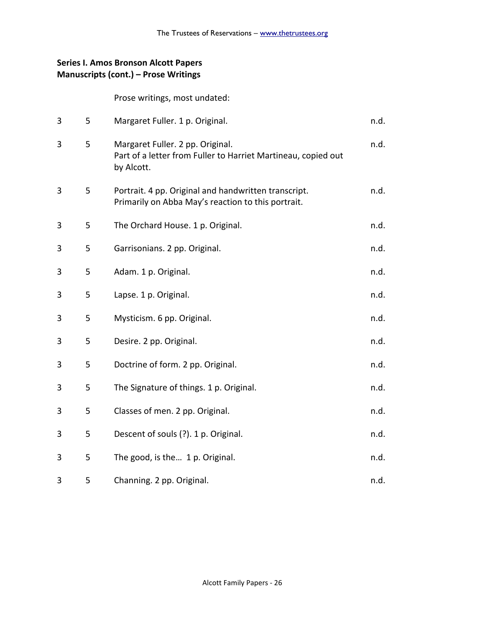## **Series I. Amos Bronson Alcott Papers Manuscripts (cont.) – Prose Writings**

Prose writings, most undated:

| 3 | 5 | Margaret Fuller. 1 p. Original.                                                                                 | n.d. |
|---|---|-----------------------------------------------------------------------------------------------------------------|------|
| 3 | 5 | Margaret Fuller. 2 pp. Original.<br>Part of a letter from Fuller to Harriet Martineau, copied out<br>by Alcott. | n.d. |
| 3 | 5 | Portrait. 4 pp. Original and handwritten transcript.<br>Primarily on Abba May's reaction to this portrait.      | n.d. |
| 3 | 5 | The Orchard House. 1 p. Original.                                                                               | n.d. |
| 3 | 5 | Garrisonians. 2 pp. Original.                                                                                   | n.d. |
| 3 | 5 | Adam. 1 p. Original.                                                                                            | n.d. |
| 3 | 5 | Lapse. 1 p. Original.                                                                                           | n.d. |
| 3 | 5 | Mysticism. 6 pp. Original.                                                                                      | n.d. |
| 3 | 5 | Desire. 2 pp. Original.                                                                                         | n.d. |
| 3 | 5 | Doctrine of form. 2 pp. Original.                                                                               | n.d. |
| 3 | 5 | The Signature of things. 1 p. Original.                                                                         | n.d. |
| 3 | 5 | Classes of men. 2 pp. Original.                                                                                 | n.d. |
| 3 | 5 | Descent of souls (?). 1 p. Original.                                                                            | n.d. |
| 3 | 5 | The good, is the 1 p. Original.                                                                                 | n.d. |
| 3 | 5 | Channing. 2 pp. Original.                                                                                       | n.d. |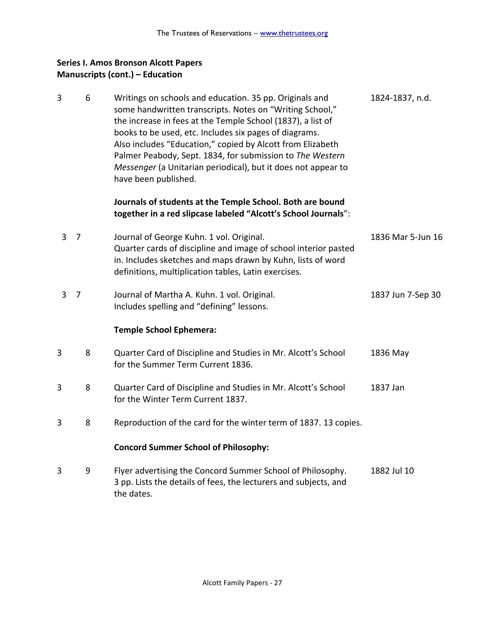### **Series I. Amos Bronson Alcott Papers Manuscripts (cont.) – Education**

3 6 Writings on schools and education. 35 pp. Originals and 1824-1837, n.d. some handwritten transcripts. Notes on "Writing School," the increase in fees at the Temple School (1837), a list of books to be used, etc. Includes six pages of diagrams. Also includes "Education," copied by Alcott from Elizabeth Palmer Peabody, Sept. 1834, for submission to *The Western Messenger* (a Unitarian periodical), but it does not appear to have been published. **Journals of students at the Temple School. Both are bound together in a red slipcase labeled "Alcott's School Journals**": 3 7 Journal of George Kuhn. 1 vol. Original. 1836 Mar 5-Jun 16 Quarter cards of discipline and image of school interior pasted in. Includes sketches and maps drawn by Kuhn, lists of word definitions, multiplication tables, Latin exercises. 3 7 Journal of Martha A. Kuhn. 1 vol. Original. 1837 Jun 7-Sep 30 Includes spelling and "defining" lessons. **Temple School Ephemera:** 3 8 Quarter Card of Discipline and Studies in Mr. Alcott's School 1836 May for the Summer Term Current 1836. 3 8 Quarter Card of Discipline and Studies in Mr. Alcott's School 1837 Jan for the Winter Term Current 1837. 3 8 Reproduction of the card for the winter term of 1837. 13 copies. **Concord Summer School of Philosophy:** 3 9 Flyer advertising the Concord Summer School of Philosophy. 1882 Jul 10 3 pp. Lists the details of fees, the lecturers and subjects, and the dates.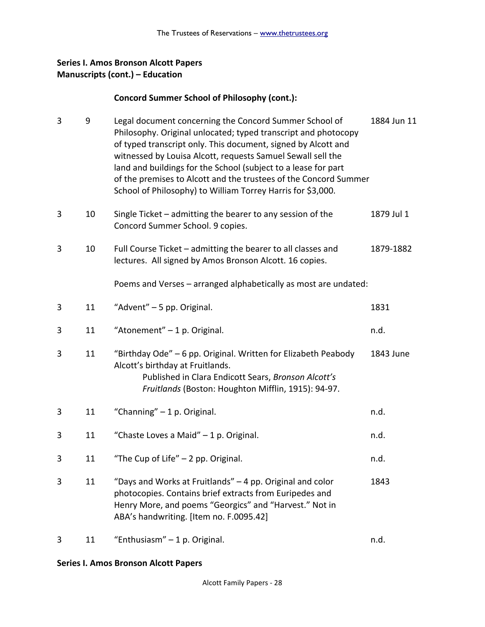## **Series I. Amos Bronson Alcott Papers Manuscripts (cont.) – Education**

### **Concord Summer School of Philosophy (cont.):**

| 3 | 9  | Legal document concerning the Concord Summer School of<br>Philosophy. Original unlocated; typed transcript and photocopy<br>of typed transcript only. This document, signed by Alcott and<br>witnessed by Louisa Alcott, requests Samuel Sewall sell the<br>land and buildings for the School (subject to a lease for part<br>of the premises to Alcott and the trustees of the Concord Summer<br>School of Philosophy) to William Torrey Harris for \$3,000. | 1884 Jun 11 |
|---|----|---------------------------------------------------------------------------------------------------------------------------------------------------------------------------------------------------------------------------------------------------------------------------------------------------------------------------------------------------------------------------------------------------------------------------------------------------------------|-------------|
| 3 | 10 | Single Ticket – admitting the bearer to any session of the<br>Concord Summer School. 9 copies.                                                                                                                                                                                                                                                                                                                                                                | 1879 Jul 1  |
| 3 | 10 | Full Course Ticket - admitting the bearer to all classes and<br>lectures. All signed by Amos Bronson Alcott. 16 copies.                                                                                                                                                                                                                                                                                                                                       | 1879-1882   |
|   |    | Poems and Verses - arranged alphabetically as most are undated:                                                                                                                                                                                                                                                                                                                                                                                               |             |
| 3 | 11 | "Advent" - 5 pp. Original.                                                                                                                                                                                                                                                                                                                                                                                                                                    | 1831        |
| 3 | 11 | "Atonement" - 1 p. Original.                                                                                                                                                                                                                                                                                                                                                                                                                                  | n.d.        |
| 3 | 11 | "Birthday Ode" - 6 pp. Original. Written for Elizabeth Peabody<br>Alcott's birthday at Fruitlands.<br>Published in Clara Endicott Sears, Bronson Alcott's<br>Fruitlands (Boston: Houghton Mifflin, 1915): 94-97.                                                                                                                                                                                                                                              | 1843 June   |
| 3 | 11 | "Channing" - 1 p. Original.                                                                                                                                                                                                                                                                                                                                                                                                                                   | n.d.        |
| 3 | 11 | "Chaste Loves a Maid" - 1 p. Original.                                                                                                                                                                                                                                                                                                                                                                                                                        | n.d.        |
| 3 | 11 | "The Cup of Life" $-$ 2 pp. Original.                                                                                                                                                                                                                                                                                                                                                                                                                         | n.d.        |
| 3 | 11 | "Days and Works at Fruitlands" – 4 pp. Original and color<br>photocopies. Contains brief extracts from Euripedes and<br>Henry More, and poems "Georgics" and "Harvest." Not in<br>ABA's handwriting. [Item no. F.0095.42]                                                                                                                                                                                                                                     | 1843        |
| 3 | 11 | "Enthusiasm" - 1 p. Original.                                                                                                                                                                                                                                                                                                                                                                                                                                 | n.d.        |

#### **Series I. Amos Bronson Alcott Papers**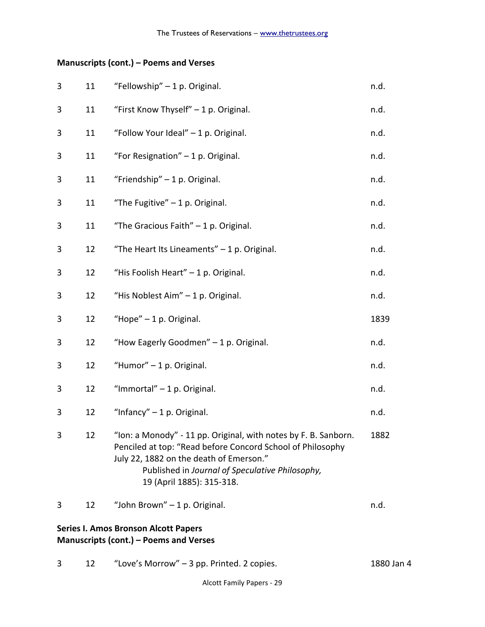# **Manuscripts (cont.) – Poems and Verses**

| 3 | 11 | "Fellowship" - 1 p. Original.                                                                                                                                                                                                                            | n.d.       |
|---|----|----------------------------------------------------------------------------------------------------------------------------------------------------------------------------------------------------------------------------------------------------------|------------|
| 3 | 11 | "First Know Thyself" - 1 p. Original.                                                                                                                                                                                                                    | n.d.       |
| 3 | 11 | "Follow Your Ideal" - 1 p. Original.                                                                                                                                                                                                                     | n.d.       |
| 3 | 11 | "For Resignation" - 1 p. Original.                                                                                                                                                                                                                       | n.d.       |
| 3 | 11 | "Friendship" - 1 p. Original.                                                                                                                                                                                                                            | n.d.       |
| 3 | 11 | "The Fugitive" $-1$ p. Original.                                                                                                                                                                                                                         | n.d.       |
| 3 | 11 | "The Gracious Faith" $-1$ p. Original.                                                                                                                                                                                                                   | n.d.       |
| 3 | 12 | "The Heart Its Lineaments" $-1$ p. Original.                                                                                                                                                                                                             | n.d.       |
| 3 | 12 | "His Foolish Heart" - 1 p. Original.                                                                                                                                                                                                                     | n.d.       |
| 3 | 12 | "His Noblest Aim" - 1 p. Original.                                                                                                                                                                                                                       | n.d.       |
| 3 | 12 | "Hope" - 1 p. Original.                                                                                                                                                                                                                                  | 1839       |
| 3 | 12 | "How Eagerly Goodmen" - 1 p. Original.                                                                                                                                                                                                                   | n.d.       |
| 3 | 12 | "Humor" - 1 p. Original.                                                                                                                                                                                                                                 | n.d.       |
| 3 | 12 | "Immortal" $-1$ p. Original.                                                                                                                                                                                                                             | n.d.       |
| 3 | 12 | "Infancy" $-1$ p. Original.                                                                                                                                                                                                                              | n.d.       |
| 3 | 12 | "Ion: a Monody" - 11 pp. Original, with notes by F. B. Sanborn.<br>Penciled at top: "Read before Concord School of Philosophy<br>July 22, 1882 on the death of Emerson."<br>Published in Journal of Speculative Philosophy,<br>19 (April 1885): 315-318. | 1882       |
| 3 | 12 | "John Brown" - 1 p. Original.                                                                                                                                                                                                                            | n.d.       |
|   |    | <b>Series I. Amos Bronson Alcott Papers</b><br>Manuscripts (cont.) - Poems and Verses                                                                                                                                                                    |            |
| 3 | 12 | "Love's Morrow" - 3 pp. Printed. 2 copies.                                                                                                                                                                                                               | 1880 Jan 4 |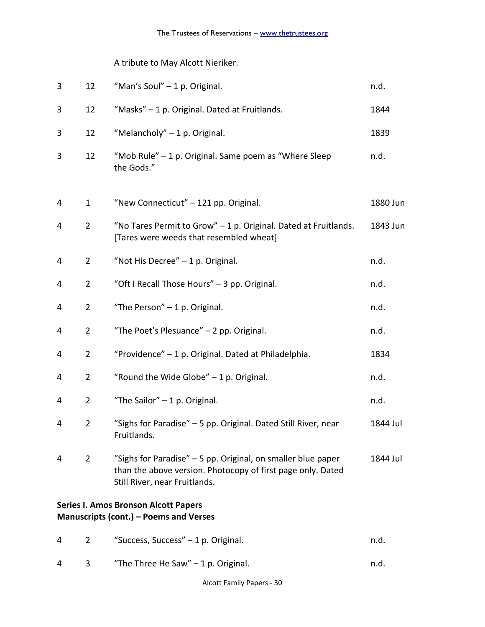# A tribute to May Alcott Nieriker.

| 3 | 12             | "Man's Soul" - 1 p. Original.                                                                                                                                | n.d.     |
|---|----------------|--------------------------------------------------------------------------------------------------------------------------------------------------------------|----------|
| 3 | 12             | "Masks" - 1 p. Original. Dated at Fruitlands.                                                                                                                | 1844     |
| 3 | 12             | "Melancholy" - 1 p. Original.                                                                                                                                | 1839     |
| 3 | 12             | "Mob Rule" - 1 p. Original. Same poem as "Where Sleep<br>the Gods."                                                                                          | n.d.     |
| 4 | $\mathbf{1}$   | "New Connecticut" - 121 pp. Original.                                                                                                                        | 1880 Jun |
| 4 | $\overline{2}$ | "No Tares Permit to Grow" - 1 p. Original. Dated at Fruitlands.<br>[Tares were weeds that resembled wheat]                                                   | 1843 Jun |
| 4 | $\overline{2}$ | "Not His Decree" - 1 p. Original.                                                                                                                            | n.d.     |
| 4 | $\overline{2}$ | "Oft I Recall Those Hours" - 3 pp. Original.                                                                                                                 | n.d.     |
| 4 | $\overline{2}$ | "The Person" - 1 p. Original.                                                                                                                                | n.d.     |
| 4 | $\overline{2}$ | "The Poet's Plesuance" - 2 pp. Original.                                                                                                                     | n.d.     |
| 4 | $\overline{2}$ | "Providence" - 1 p. Original. Dated at Philadelphia.                                                                                                         | 1834     |
| 4 | $\overline{2}$ | "Round the Wide Globe" $-1$ p. Original.                                                                                                                     | n.d.     |
| 4 | $\overline{2}$ | "The Sailor" $-1$ p. Original.                                                                                                                               | n.d.     |
| 4 | $\overline{2}$ | "Sighs for Paradise" - 5 pp. Original. Dated Still River, near<br>Fruitlands.                                                                                | 1844 Jul |
| 4 | $\overline{2}$ | "Sighs for Paradise" - 5 pp. Original, on smaller blue paper<br>than the above version. Photocopy of first page only. Dated<br>Still River, near Fruitlands. | 1844 Jul |
|   |                | <b>Series I. Amos Bronson Alcott Papers</b><br><b>Manuscripts (cont.) - Poems and Verses</b>                                                                 |          |
| 4 | 2              | "Success, Success" - 1 p. Original.                                                                                                                          | n.d.     |

4 3 "The Three He Saw" – 1 p. Original. The Saw Number of the Same School and Muslim and Muslim and Muslim and Muslim and Muslim and Muslim and Muslim and Muslim and Muslim and Muslim and Muslim and Muslim and Muslim and M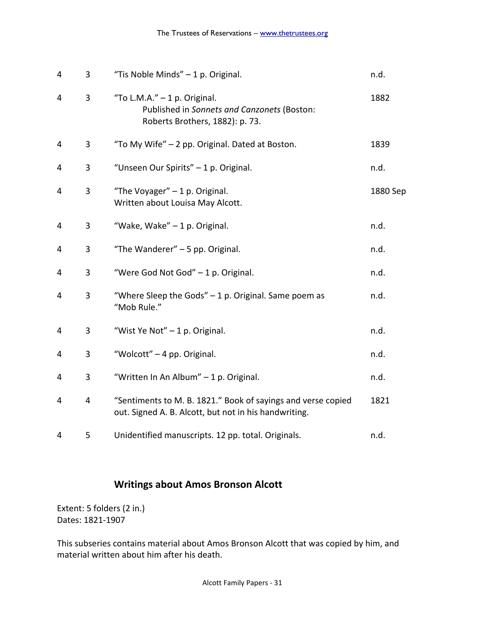| 4 | 3 | "Tis Noble Minds" - 1 p. Original.                                                                                    | n.d.     |
|---|---|-----------------------------------------------------------------------------------------------------------------------|----------|
| 4 | 3 | "To L.M.A." $-1$ p. Original.<br>Published in Sonnets and Canzonets (Boston:<br>Roberts Brothers, 1882): p. 73.       | 1882     |
| 4 | 3 | "To My Wife" - 2 pp. Original. Dated at Boston.                                                                       | 1839     |
| 4 | 3 | "Unseen Our Spirits" - 1 p. Original.                                                                                 | n.d.     |
| 4 | 3 | "The Voyager" $-1$ p. Original.<br>Written about Louisa May Alcott.                                                   | 1880 Sep |
| 4 | 3 | "Wake, Wake" - 1 p. Original.                                                                                         | n.d.     |
| 4 | 3 | "The Wanderer" - 5 pp. Original.                                                                                      | n.d.     |
| 4 | 3 | "Were God Not God" - 1 p. Original.                                                                                   | n.d.     |
| 4 | 3 | "Where Sleep the Gods" $-1$ p. Original. Same poem as<br>"Mob Rule."                                                  | n.d.     |
| 4 | 3 | "Wist Ye Not" - 1 p. Original.                                                                                        | n.d.     |
| 4 | 3 | "Wolcott" - 4 pp. Original.                                                                                           | n.d.     |
| 4 | 3 | "Written In An Album" - 1 p. Original.                                                                                | n.d.     |
| 4 | 4 | "Sentiments to M. B. 1821." Book of sayings and verse copied<br>out. Signed A. B. Alcott, but not in his handwriting. | 1821     |
| 4 | 5 | Unidentified manuscripts. 12 pp. total. Originals.                                                                    | n.d.     |

# **Writings about Amos Bronson Alcott**

Extent: 5 folders (2 in.) Dates: 1821-1907

This subseries contains material about Amos Bronson Alcott that was copied by him, and material written about him after his death.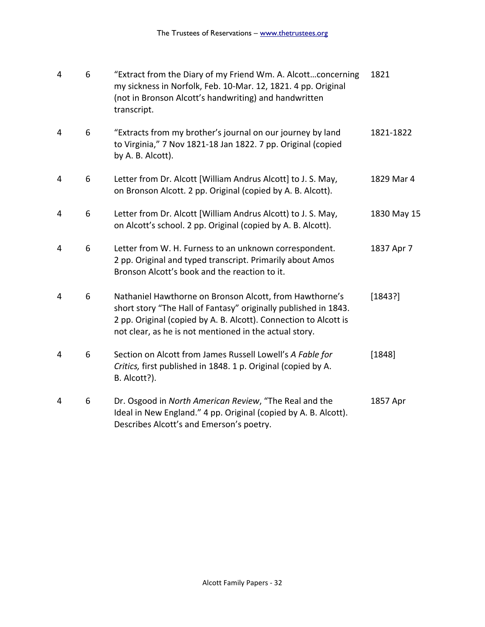| 4 | 6 | "Extract from the Diary of my Friend Wm. A. Alcottconcerning<br>my sickness in Norfolk, Feb. 10-Mar. 12, 1821. 4 pp. Original<br>(not in Bronson Alcott's handwriting) and handwritten<br>transcript.                                                    | 1821        |
|---|---|----------------------------------------------------------------------------------------------------------------------------------------------------------------------------------------------------------------------------------------------------------|-------------|
| 4 | 6 | "Extracts from my brother's journal on our journey by land<br>to Virginia," 7 Nov 1821-18 Jan 1822. 7 pp. Original (copied<br>by A. B. Alcott).                                                                                                          | 1821-1822   |
| 4 | 6 | Letter from Dr. Alcott [William Andrus Alcott] to J. S. May,<br>on Bronson Alcott. 2 pp. Original (copied by A. B. Alcott).                                                                                                                              | 1829 Mar 4  |
| 4 | 6 | Letter from Dr. Alcott [William Andrus Alcott) to J. S. May,<br>on Alcott's school. 2 pp. Original (copied by A. B. Alcott).                                                                                                                             | 1830 May 15 |
| 4 | 6 | Letter from W. H. Furness to an unknown correspondent.<br>2 pp. Original and typed transcript. Primarily about Amos<br>Bronson Alcott's book and the reaction to it.                                                                                     | 1837 Apr 7  |
| 4 | 6 | Nathaniel Hawthorne on Bronson Alcott, from Hawthorne's<br>short story "The Hall of Fantasy" originally published in 1843.<br>2 pp. Original (copied by A. B. Alcott). Connection to Alcott is<br>not clear, as he is not mentioned in the actual story. | [1843?]     |
| 4 | 6 | Section on Alcott from James Russell Lowell's A Fable for<br>Critics, first published in 1848. 1 p. Original (copied by A.<br>B. Alcott?).                                                                                                               | [1848]      |
| 4 | 6 | Dr. Osgood in North American Review, "The Real and the<br>Ideal in New England." 4 pp. Original (copied by A. B. Alcott).<br>Describes Alcott's and Emerson's poetry.                                                                                    | 1857 Apr    |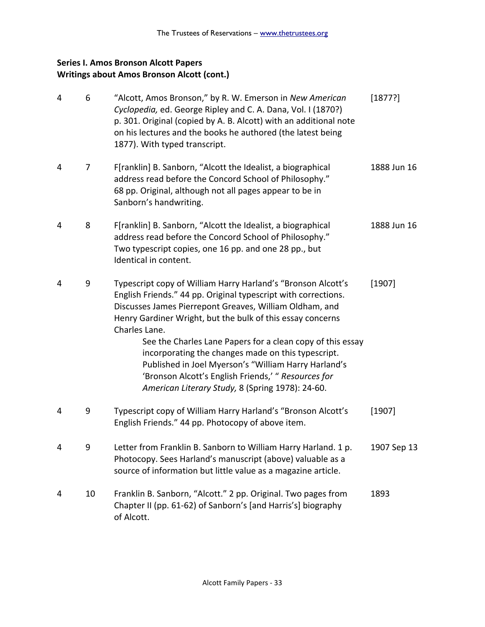## **Series I. Amos Bronson Alcott Papers Writings about Amos Bronson Alcott (cont.)**

| 4 | 6  | "Alcott, Amos Bronson," by R. W. Emerson in New American<br>Cyclopedia, ed. George Ripley and C. A. Dana, Vol. I (1870?)<br>p. 301. Original (copied by A. B. Alcott) with an additional note<br>on his lectures and the books he authored (the latest being<br>1877). With typed transcript.                                                                                                                                                                                                                                                                   | [1877?]     |
|---|----|-----------------------------------------------------------------------------------------------------------------------------------------------------------------------------------------------------------------------------------------------------------------------------------------------------------------------------------------------------------------------------------------------------------------------------------------------------------------------------------------------------------------------------------------------------------------|-------------|
| 4 | 7  | F[ranklin] B. Sanborn, "Alcott the Idealist, a biographical<br>address read before the Concord School of Philosophy."<br>68 pp. Original, although not all pages appear to be in<br>Sanborn's handwriting.                                                                                                                                                                                                                                                                                                                                                      | 1888 Jun 16 |
| 4 | 8  | F[ranklin] B. Sanborn, "Alcott the Idealist, a biographical<br>address read before the Concord School of Philosophy."<br>Two typescript copies, one 16 pp. and one 28 pp., but<br>Identical in content.                                                                                                                                                                                                                                                                                                                                                         | 1888 Jun 16 |
| 4 | 9  | Typescript copy of William Harry Harland's "Bronson Alcott's<br>English Friends." 44 pp. Original typescript with corrections.<br>Discusses James Pierrepont Greaves, William Oldham, and<br>Henry Gardiner Wright, but the bulk of this essay concerns<br>Charles Lane.<br>See the Charles Lane Papers for a clean copy of this essay<br>incorporating the changes made on this typescript.<br>Published in Joel Myerson's "William Harry Harland's<br>'Bronson Alcott's English Friends,' " Resources for<br>American Literary Study, 8 (Spring 1978): 24-60. | [1907]      |
| 4 | 9  | Typescript copy of William Harry Harland's "Bronson Alcott's<br>English Friends." 44 pp. Photocopy of above item.                                                                                                                                                                                                                                                                                                                                                                                                                                               | [1907]      |
|   | 9  | Letter from Franklin B. Sanborn to William Harry Harland. 1 p.<br>Photocopy. Sees Harland's manuscript (above) valuable as a<br>source of information but little value as a magazine article.                                                                                                                                                                                                                                                                                                                                                                   | 1907 Sep 13 |
| 4 | 10 | Franklin B. Sanborn, "Alcott." 2 pp. Original. Two pages from<br>Chapter II (pp. 61-62) of Sanborn's [and Harris's] biography<br>of Alcott.                                                                                                                                                                                                                                                                                                                                                                                                                     | 1893        |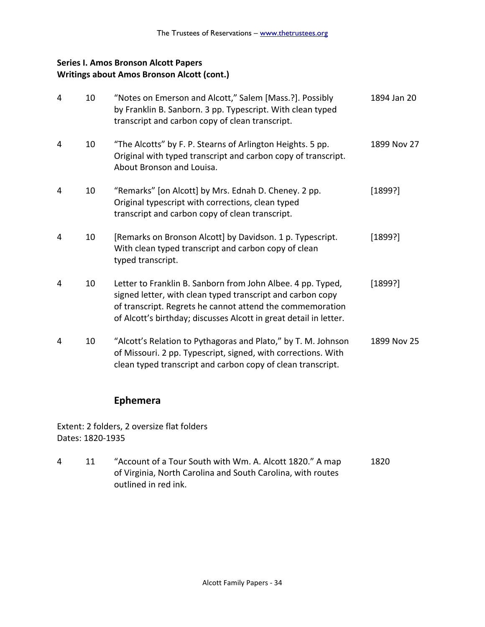## **Series I. Amos Bronson Alcott Papers Writings about Amos Bronson Alcott (cont.)**

| 4 | 10 | "Notes on Emerson and Alcott," Salem [Mass.?]. Possibly<br>by Franklin B. Sanborn. 3 pp. Typescript. With clean typed<br>transcript and carbon copy of clean transcript.                                                                                    | 1894 Jan 20 |
|---|----|-------------------------------------------------------------------------------------------------------------------------------------------------------------------------------------------------------------------------------------------------------------|-------------|
| 4 | 10 | "The Alcotts" by F. P. Stearns of Arlington Heights. 5 pp.<br>Original with typed transcript and carbon copy of transcript.<br>About Bronson and Louisa.                                                                                                    | 1899 Nov 27 |
| 4 | 10 | "Remarks" [on Alcott] by Mrs. Ednah D. Cheney. 2 pp.<br>Original typescript with corrections, clean typed<br>transcript and carbon copy of clean transcript.                                                                                                | [1899?]     |
| 4 | 10 | [Remarks on Bronson Alcott] by Davidson. 1 p. Typescript.<br>With clean typed transcript and carbon copy of clean<br>typed transcript.                                                                                                                      | [1899?]     |
| 4 | 10 | Letter to Franklin B. Sanborn from John Albee. 4 pp. Typed,<br>signed letter, with clean typed transcript and carbon copy<br>of transcript. Regrets he cannot attend the commemoration<br>of Alcott's birthday; discusses Alcott in great detail in letter. | [1899?]     |
| 4 | 10 | "Alcott's Relation to Pythagoras and Plato," by T. M. Johnson<br>of Missouri. 2 pp. Typescript, signed, with corrections. With<br>clean typed transcript and carbon copy of clean transcript.                                                               | 1899 Nov 25 |

## **Ephemera**

Extent: 2 folders, 2 oversize flat folders Dates: 1820-1935

4 11 "Account of a Tour South with Wm. A. Alcott 1820." A map 1820 of Virginia, North Carolina and South Carolina, with routes outlined in red ink.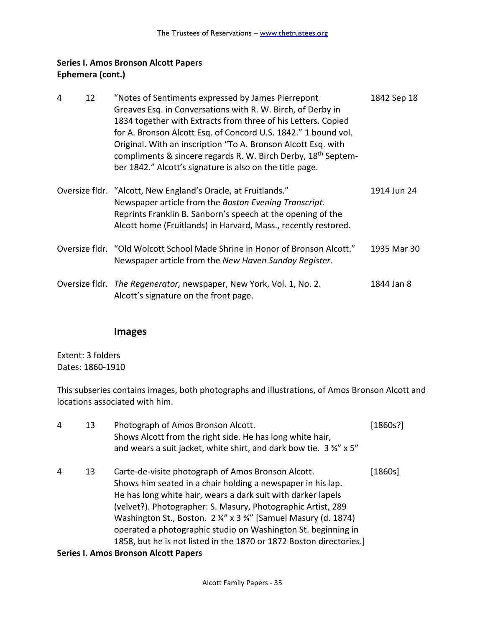## **Series I. Amos Bronson Alcott Papers Ephemera (cont.)**

| 4 | 12 | "Notes of Sentiments expressed by James Pierrepont<br>Greaves Esq. in Conversations with R. W. Birch, of Derby in<br>1834 together with Extracts from three of his Letters. Copied<br>for A. Bronson Alcott Esq. of Concord U.S. 1842." 1 bound vol.<br>Original. With an inscription "To A. Bronson Alcott Esq. with<br>compliments & sincere regards R. W. Birch Derby, 18 <sup>th</sup> Septem-<br>ber 1842." Alcott's signature is also on the title page. | 1842 Sep 18 |
|---|----|----------------------------------------------------------------------------------------------------------------------------------------------------------------------------------------------------------------------------------------------------------------------------------------------------------------------------------------------------------------------------------------------------------------------------------------------------------------|-------------|
|   |    | Oversize fldr. "Alcott, New England's Oracle, at Fruitlands."<br>Newspaper article from the Boston Evening Transcript.<br>Reprints Franklin B. Sanborn's speech at the opening of the<br>Alcott home (Fruitlands) in Harvard, Mass., recently restored.                                                                                                                                                                                                        | 1914 Jun 24 |
|   |    | Oversize fldr. "Old Wolcott School Made Shrine in Honor of Bronson Alcott."<br>Newspaper article from the New Haven Sunday Register.                                                                                                                                                                                                                                                                                                                           | 1935 Mar 30 |
|   |    | Oversize fldr. The Regenerator, newspaper, New York, Vol. 1, No. 2.<br>Alcott's signature on the front page.                                                                                                                                                                                                                                                                                                                                                   | 1844 Jan 8  |

### **Images**

Extent: 3 folders Dates: 1860-1910

This subseries contains images, both photographs and illustrations, of Amos Bronson Alcott and locations associated with him.

| 4 | 13 | Photograph of Amos Bronson Alcott.<br>Shows Alcott from the right side. He has long white hair,<br>and wears a suit jacket, white shirt, and dark bow tie. 3 34" x 5"                                                                                                                                                                                                                                                                                     | [1860s?] |
|---|----|-----------------------------------------------------------------------------------------------------------------------------------------------------------------------------------------------------------------------------------------------------------------------------------------------------------------------------------------------------------------------------------------------------------------------------------------------------------|----------|
| 4 | 13 | Carte-de-visite photograph of Amos Bronson Alcott.<br>Shows him seated in a chair holding a newspaper in his lap.<br>He has long white hair, wears a dark suit with darker lapels<br>(velvet?). Photographer: S. Masury, Photographic Artist, 289<br>Washington St., Boston. 2 ¼" x 3 ¾" [Samuel Masury (d. 1874)<br>operated a photographic studio on Washington St. beginning in<br>1858, but he is not listed in the 1870 or 1872 Boston directories.] | [1860s]  |
|   |    |                                                                                                                                                                                                                                                                                                                                                                                                                                                           |          |

#### **Series I. Amos Bronson Alcott Papers**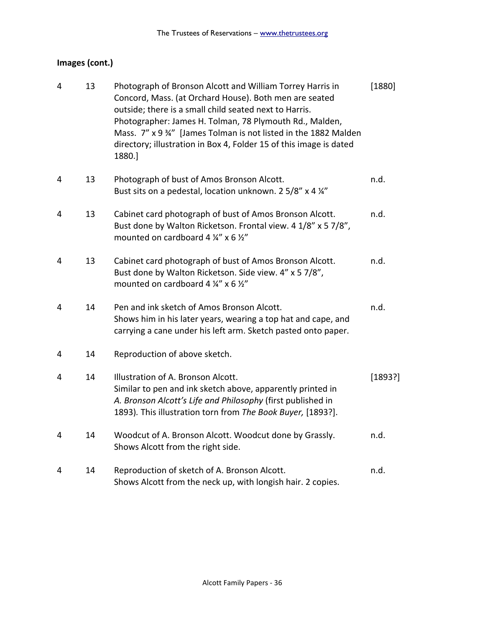# **Images (cont.)**

| 4              | 13 | Photograph of Bronson Alcott and William Torrey Harris in<br>Concord, Mass. (at Orchard House). Both men are seated<br>outside; there is a small child seated next to Harris.<br>Photographer: James H. Tolman, 78 Plymouth Rd., Malden,<br>Mass. 7" x 9 %" [James Tolman is not listed in the 1882 Malden<br>directory; illustration in Box 4, Folder 15 of this image is dated<br>1880.] | [1880]  |
|----------------|----|--------------------------------------------------------------------------------------------------------------------------------------------------------------------------------------------------------------------------------------------------------------------------------------------------------------------------------------------------------------------------------------------|---------|
| 4              | 13 | Photograph of bust of Amos Bronson Alcott.<br>Bust sits on a pedestal, location unknown. 2 5/8" x 4 1/4"                                                                                                                                                                                                                                                                                   | n.d.    |
| 4              | 13 | Cabinet card photograph of bust of Amos Bronson Alcott.<br>Bust done by Walton Ricketson. Frontal view. 4 1/8" x 5 7/8",<br>mounted on cardboard 4 1/4" x 6 1/2"                                                                                                                                                                                                                           | n.d.    |
| $\overline{4}$ | 13 | Cabinet card photograph of bust of Amos Bronson Alcott.<br>Bust done by Walton Ricketson. Side view. 4" x 5 7/8",<br>mounted on cardboard 4 1/4" x 6 1/2"                                                                                                                                                                                                                                  | n.d.    |
| 4              | 14 | Pen and ink sketch of Amos Bronson Alcott.<br>Shows him in his later years, wearing a top hat and cape, and<br>carrying a cane under his left arm. Sketch pasted onto paper.                                                                                                                                                                                                               | n.d.    |
| 4              | 14 | Reproduction of above sketch.                                                                                                                                                                                                                                                                                                                                                              |         |
| 4              | 14 | Illustration of A. Bronson Alcott.<br>Similar to pen and ink sketch above, apparently printed in<br>A. Bronson Alcott's Life and Philosophy (first published in<br>1893). This illustration torn from The Book Buyer, [1893?].                                                                                                                                                             | [1893?] |
| 4              | 14 | Woodcut of A. Bronson Alcott. Woodcut done by Grassly.<br>Shows Alcott from the right side.                                                                                                                                                                                                                                                                                                | n.d.    |
| 4              | 14 | Reproduction of sketch of A. Bronson Alcott.<br>Shows Alcott from the neck up, with longish hair. 2 copies.                                                                                                                                                                                                                                                                                | n.d.    |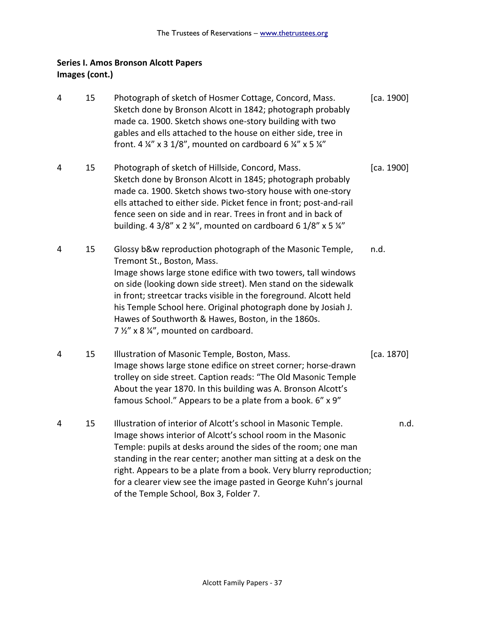## **Series I. Amos Bronson Alcott Papers Images (cont.)**

4 15 Photograph of sketch of Hosmer Cottage, Concord, Mass. [ca. 1900] Sketch done by Bronson Alcott in 1842; photograph probably made ca. 1900. Sketch shows one-story building with two gables and ells attached to the house on either side, tree in front. 4  $\frac{1}{4}$ " x 3 1/8", mounted on cardboard 6  $\frac{1}{4}$ " x 5  $\frac{1}{4}$ " 4 15 Photograph of sketch of Hillside, Concord, Mass. [ca. 1900] Sketch done by Bronson Alcott in 1845; photograph probably made ca. 1900. Sketch shows two-story house with one-story ells attached to either side. Picket fence in front; post-and-rail fence seen on side and in rear. Trees in front and in back of building. 4 3/8" x 2  $\frac{3}{4}$ ", mounted on cardboard 6 1/8" x 5  $\frac{1}{4}$ " 4 15 Glossy b&w reproduction photograph of the Masonic Temple, n.d. Tremont St., Boston, Mass. Image shows large stone edifice with two towers, tall windows on side (looking down side street). Men stand on the sidewalk in front; streetcar tracks visible in the foreground. Alcott held his Temple School here. Original photograph done by Josiah J. Hawes of Southworth & Hawes, Boston, in the 1860s. 7 ½" x 8 ¼", mounted on cardboard. 4 15 Illustration of Masonic Temple, Boston, Mass. [ca. 1870] Image shows large stone edifice on street corner; horse-drawn trolley on side street. Caption reads: "The Old Masonic Temple About the year 1870. In this building was A. Bronson Alcott's famous School." Appears to be a plate from a book. 6" x 9" 4 15 Illustration of interior of Alcott's school in Masonic Temple. n.d. Image shows interior of Alcott's school room in the Masonic Temple: pupils at desks around the sides of the room; one man standing in the rear center; another man sitting at a desk on the right. Appears to be a plate from a book. Very blurry reproduction; for a clearer view see the image pasted in George Kuhn's journal of the Temple School, Box 3, Folder 7.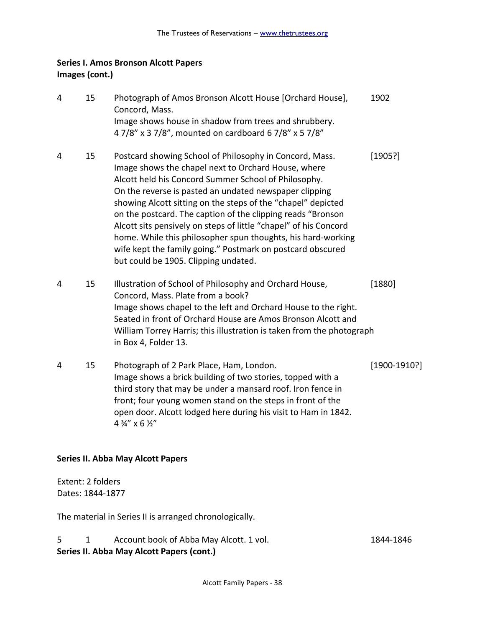## **Series I. Amos Bronson Alcott Papers Images (cont.)**

| 4 | 15 | Photograph of Amos Bronson Alcott House [Orchard House],<br>Concord, Mass.<br>Image shows house in shadow from trees and shrubbery.<br>47/8" x 37/8", mounted on cardboard 67/8" x 57/8"                                                                                                                                                                                                                                                                                                                                                                                                                  | 1902              |
|---|----|-----------------------------------------------------------------------------------------------------------------------------------------------------------------------------------------------------------------------------------------------------------------------------------------------------------------------------------------------------------------------------------------------------------------------------------------------------------------------------------------------------------------------------------------------------------------------------------------------------------|-------------------|
| 4 | 15 | Postcard showing School of Philosophy in Concord, Mass.<br>Image shows the chapel next to Orchard House, where<br>Alcott held his Concord Summer School of Philosophy.<br>On the reverse is pasted an undated newspaper clipping<br>showing Alcott sitting on the steps of the "chapel" depicted<br>on the postcard. The caption of the clipping reads "Bronson<br>Alcott sits pensively on steps of little "chapel" of his Concord<br>home. While this philosopher spun thoughts, his hard-working<br>wife kept the family going." Postmark on postcard obscured<br>but could be 1905. Clipping undated. | [1905!]           |
| 4 | 15 | Illustration of School of Philosophy and Orchard House,<br>Concord, Mass. Plate from a book?<br>Image shows chapel to the left and Orchard House to the right.<br>Seated in front of Orchard House are Amos Bronson Alcott and<br>William Torrey Harris; this illustration is taken from the photograph<br>in Box 4, Folder 13.                                                                                                                                                                                                                                                                           | [1880]            |
| 4 | 15 | Photograph of 2 Park Place, Ham, London.<br>Image shows a brick building of two stories, topped with a<br>third story that may be under a mansard roof. Iron fence in<br>front; four young women stand on the steps in front of the<br>open door. Alcott lodged here during his visit to Ham in 1842.                                                                                                                                                                                                                                                                                                     | $[1900 - 1910$ ?] |

4  $\frac{3}{4}$ " x 6  $\frac{1}{2}$ "

#### **Series II. Abba May Alcott Papers**

Extent: 2 folders Dates: 1844-1877

The material in Series II is arranged chronologically.

### 5 1 Account book of Abba May Alcott. 1 vol. 1844-1846 **Series II. Abba May Alcott Papers (cont.)**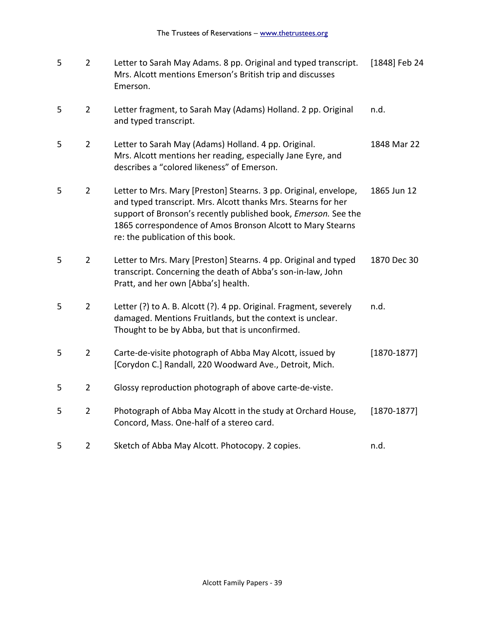| 5 | $\overline{2}$ | Letter to Sarah May Adams. 8 pp. Original and typed transcript.<br>Mrs. Alcott mentions Emerson's British trip and discusses<br>Emerson.                                                                                                                                                               | [1848] Feb 24   |
|---|----------------|--------------------------------------------------------------------------------------------------------------------------------------------------------------------------------------------------------------------------------------------------------------------------------------------------------|-----------------|
| 5 | $\overline{2}$ | Letter fragment, to Sarah May (Adams) Holland. 2 pp. Original<br>and typed transcript.                                                                                                                                                                                                                 | n.d.            |
| 5 | $\overline{2}$ | Letter to Sarah May (Adams) Holland. 4 pp. Original.<br>Mrs. Alcott mentions her reading, especially Jane Eyre, and<br>describes a "colored likeness" of Emerson.                                                                                                                                      | 1848 Mar 22     |
| 5 | $\overline{2}$ | Letter to Mrs. Mary [Preston] Stearns. 3 pp. Original, envelope,<br>and typed transcript. Mrs. Alcott thanks Mrs. Stearns for her<br>support of Bronson's recently published book, Emerson. See the<br>1865 correspondence of Amos Bronson Alcott to Mary Stearns<br>re: the publication of this book. | 1865 Jun 12     |
| 5 | $\overline{2}$ | Letter to Mrs. Mary [Preston] Stearns. 4 pp. Original and typed<br>transcript. Concerning the death of Abba's son-in-law, John<br>Pratt, and her own [Abba's] health.                                                                                                                                  | 1870 Dec 30     |
| 5 | $\overline{2}$ | Letter (?) to A. B. Alcott (?). 4 pp. Original. Fragment, severely<br>damaged. Mentions Fruitlands, but the context is unclear.<br>Thought to be by Abba, but that is unconfirmed.                                                                                                                     | n.d.            |
| 5 | $\overline{2}$ | Carte-de-visite photograph of Abba May Alcott, issued by<br>[Corydon C.] Randall, 220 Woodward Ave., Detroit, Mich.                                                                                                                                                                                    | $[1870 - 1877]$ |
| 5 | $\overline{2}$ | Glossy reproduction photograph of above carte-de-viste.                                                                                                                                                                                                                                                |                 |
| 5 | $\overline{2}$ | Photograph of Abba May Alcott in the study at Orchard House,<br>Concord, Mass. One-half of a stereo card.                                                                                                                                                                                              | $[1870 - 1877]$ |
| 5 | $\overline{2}$ | Sketch of Abba May Alcott. Photocopy. 2 copies.                                                                                                                                                                                                                                                        | n.d.            |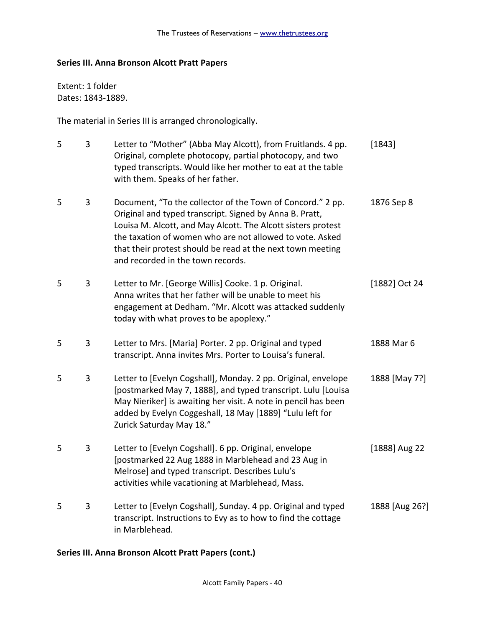### **Series III. Anna Bronson Alcott Pratt Papers**

Extent: 1 folder Dates: 1843-1889.

The material in Series III is arranged chronologically.

| 5 | 3              | Letter to "Mother" (Abba May Alcott), from Fruitlands. 4 pp.<br>Original, complete photocopy, partial photocopy, and two<br>typed transcripts. Would like her mother to eat at the table<br>with them. Speaks of her father.                                                                                                                         | [1843]         |
|---|----------------|------------------------------------------------------------------------------------------------------------------------------------------------------------------------------------------------------------------------------------------------------------------------------------------------------------------------------------------------------|----------------|
| 5 | 3              | Document, "To the collector of the Town of Concord." 2 pp.<br>Original and typed transcript. Signed by Anna B. Pratt,<br>Louisa M. Alcott, and May Alcott. The Alcott sisters protest<br>the taxation of women who are not allowed to vote. Asked<br>that their protest should be read at the next town meeting<br>and recorded in the town records. | 1876 Sep 8     |
| 5 | 3              | Letter to Mr. [George Willis] Cooke. 1 p. Original.<br>Anna writes that her father will be unable to meet his<br>engagement at Dedham. "Mr. Alcott was attacked suddenly<br>today with what proves to be apoplexy."                                                                                                                                  | [1882] Oct 24  |
| 5 | 3              | Letter to Mrs. [Maria] Porter. 2 pp. Original and typed<br>transcript. Anna invites Mrs. Porter to Louisa's funeral.                                                                                                                                                                                                                                 | 1888 Mar 6     |
| 5 | $\overline{3}$ | Letter to [Evelyn Cogshall], Monday. 2 pp. Original, envelope<br>[postmarked May 7, 1888], and typed transcript. Lulu [Louisa<br>May Nieriker] is awaiting her visit. A note in pencil has been<br>added by Evelyn Coggeshall, 18 May [1889] "Lulu left for<br>Zurick Saturday May 18."                                                              | 1888 [May 7?]  |
| 5 | $\mathbf{3}$   | Letter to [Evelyn Cogshall]. 6 pp. Original, envelope<br>[postmarked 22 Aug 1888 in Marblehead and 23 Aug in<br>Melrose] and typed transcript. Describes Lulu's<br>activities while vacationing at Marblehead, Mass.                                                                                                                                 | [1888] Aug 22  |
| 5 | 3              | Letter to [Evelyn Cogshall], Sunday. 4 pp. Original and typed<br>transcript. Instructions to Evy as to how to find the cottage<br>in Marblehead.                                                                                                                                                                                                     | 1888 [Aug 26?] |

### **Series III. Anna Bronson Alcott Pratt Papers (cont.)**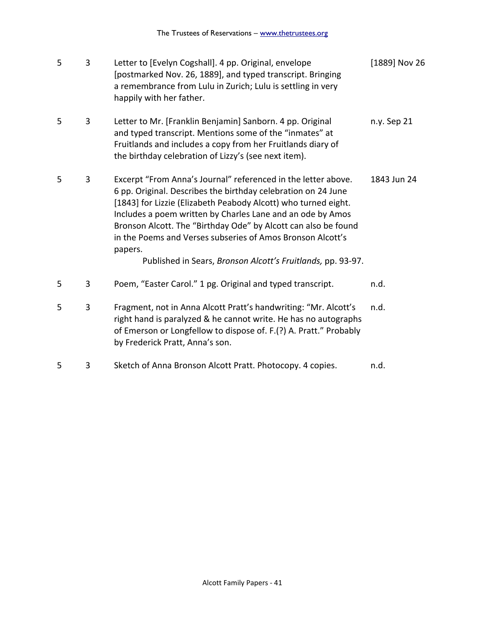| 5 | 3 | Letter to [Evelyn Cogshall]. 4 pp. Original, envelope<br>[postmarked Nov. 26, 1889], and typed transcript. Bringing<br>a remembrance from Lulu in Zurich; Lulu is settling in very<br>happily with her father.                                                                                                                                                                                                                                                           | [1889] Nov 26 |
|---|---|--------------------------------------------------------------------------------------------------------------------------------------------------------------------------------------------------------------------------------------------------------------------------------------------------------------------------------------------------------------------------------------------------------------------------------------------------------------------------|---------------|
| 5 | 3 | Letter to Mr. [Franklin Benjamin] Sanborn. 4 pp. Original<br>and typed transcript. Mentions some of the "inmates" at<br>Fruitlands and includes a copy from her Fruitlands diary of<br>the birthday celebration of Lizzy's (see next item).                                                                                                                                                                                                                              | n.y. Sep 21   |
| 5 | 3 | Excerpt "From Anna's Journal" referenced in the letter above.<br>6 pp. Original. Describes the birthday celebration on 24 June<br>[1843] for Lizzie (Elizabeth Peabody Alcott) who turned eight.<br>Includes a poem written by Charles Lane and an ode by Amos<br>Bronson Alcott. The "Birthday Ode" by Alcott can also be found<br>in the Poems and Verses subseries of Amos Bronson Alcott's<br>papers.<br>Published in Sears, Bronson Alcott's Fruitlands, pp. 93-97. | 1843 Jun 24   |
| 5 | 3 | Poem, "Easter Carol." 1 pg. Original and typed transcript.                                                                                                                                                                                                                                                                                                                                                                                                               | n.d.          |
| 5 | 3 | Fragment, not in Anna Alcott Pratt's handwriting: "Mr. Alcott's<br>right hand is paralyzed & he cannot write. He has no autographs<br>of Emerson or Longfellow to dispose of. F.(?) A. Pratt." Probably<br>by Frederick Pratt, Anna's son.                                                                                                                                                                                                                               | n.d.          |
| 5 | 3 | Sketch of Anna Bronson Alcott Pratt. Photocopy. 4 copies.                                                                                                                                                                                                                                                                                                                                                                                                                | n.d.          |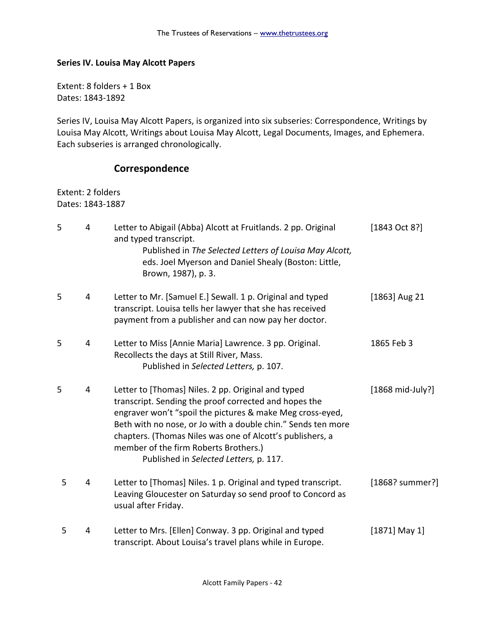### **Series IV. Louisa May Alcott Papers**

Extent: 8 folders + 1 Box Dates: 1843-1892

Series IV, Louisa May Alcott Papers, is organized into six subseries: Correspondence, Writings by Louisa May Alcott, Writings about Louisa May Alcott, Legal Documents, Images, and Ephemera. Each subseries is arranged chronologically.

### **Correspondence**

Extent: 2 folders Dates: 1843-1887

| 5 | 4 | Letter to Abigail (Abba) Alcott at Fruitlands. 2 pp. Original<br>and typed transcript.<br>Published in The Selected Letters of Louisa May Alcott,<br>eds. Joel Myerson and Daniel Shealy (Boston: Little,<br>Brown, 1987), p. 3.                                                                                                                                                         | [1843 Oct 8?]             |
|---|---|------------------------------------------------------------------------------------------------------------------------------------------------------------------------------------------------------------------------------------------------------------------------------------------------------------------------------------------------------------------------------------------|---------------------------|
| 5 | 4 | Letter to Mr. [Samuel E.] Sewall. 1 p. Original and typed<br>transcript. Louisa tells her lawyer that she has received<br>payment from a publisher and can now pay her doctor.                                                                                                                                                                                                           | $[1863]$ Aug 21           |
| 5 | 4 | Letter to Miss [Annie Maria] Lawrence. 3 pp. Original.<br>Recollects the days at Still River, Mass.<br>Published in Selected Letters, p. 107.                                                                                                                                                                                                                                            | 1865 Feb 3                |
| 5 | 4 | Letter to [Thomas] Niles. 2 pp. Original and typed<br>transcript. Sending the proof corrected and hopes the<br>engraver won't "spoil the pictures & make Meg cross-eyed,<br>Beth with no nose, or Jo with a double chin." Sends ten more<br>chapters. (Thomas Niles was one of Alcott's publishers, a<br>member of the firm Roberts Brothers.)<br>Published in Selected Letters, p. 117. | $[1868 \text{ mid-July}]$ |
| 5 | 4 | Letter to [Thomas] Niles. 1 p. Original and typed transcript.<br>Leaving Gloucester on Saturday so send proof to Concord as<br>usual after Friday.                                                                                                                                                                                                                                       | [1868? summer?]           |
| 5 | 4 | Letter to Mrs. [Ellen] Conway. 3 pp. Original and typed<br>transcript. About Louisa's travel plans while in Europe.                                                                                                                                                                                                                                                                      | $[1871]$ May 1]           |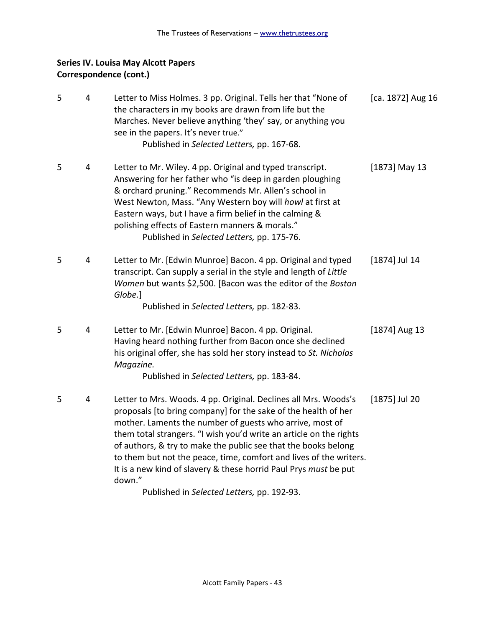| 5 | 4 | Letter to Miss Holmes. 3 pp. Original. Tells her that "None of<br>the characters in my books are drawn from life but the<br>Marches. Never believe anything 'they' say, or anything you<br>see in the papers. It's never true."<br>Published in Selected Letters, pp. 167-68.                                                                                                                                                                                                             | [ca. 1872] Aug 16 |
|---|---|-------------------------------------------------------------------------------------------------------------------------------------------------------------------------------------------------------------------------------------------------------------------------------------------------------------------------------------------------------------------------------------------------------------------------------------------------------------------------------------------|-------------------|
| 5 | 4 | Letter to Mr. Wiley. 4 pp. Original and typed transcript.<br>Answering for her father who "is deep in garden ploughing<br>& orchard pruning." Recommends Mr. Allen's school in<br>West Newton, Mass. "Any Western boy will howl at first at<br>Eastern ways, but I have a firm belief in the calming &<br>polishing effects of Eastern manners & morals."<br>Published in Selected Letters, pp. 175-76.                                                                                   | $[1873]$ May 13   |
| 5 | 4 | Letter to Mr. [Edwin Munroe] Bacon. 4 pp. Original and typed<br>transcript. Can supply a serial in the style and length of Little<br>Women but wants \$2,500. [Bacon was the editor of the Boston<br>Globe.]<br>Published in Selected Letters, pp. 182-83.                                                                                                                                                                                                                                | [1874] Jul 14     |
| 5 | 4 | Letter to Mr. [Edwin Munroe] Bacon. 4 pp. Original.<br>Having heard nothing further from Bacon once she declined<br>his original offer, she has sold her story instead to St. Nicholas<br>Magazine.<br>Published in Selected Letters, pp. 183-84.                                                                                                                                                                                                                                         | $[1874]$ Aug 13   |
| 5 | 4 | Letter to Mrs. Woods. 4 pp. Original. Declines all Mrs. Woods's<br>proposals [to bring company] for the sake of the health of her<br>mother. Laments the number of guests who arrive, most of<br>them total strangers. "I wish you'd write an article on the rights<br>of authors, & try to make the public see that the books belong<br>to them but not the peace, time, comfort and lives of the writers.<br>It is a new kind of slavery & these horrid Paul Prys must be put<br>down." | [1875] Jul 20     |

Published in *Selected Letters,* pp. 192-93.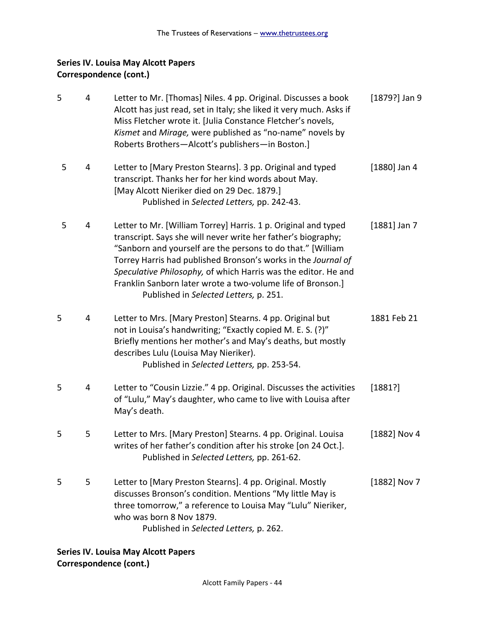| 5 | 4 | Letter to Mr. [Thomas] Niles. 4 pp. Original. Discusses a book<br>Alcott has just read, set in Italy; she liked it very much. Asks if<br>Miss Fletcher wrote it. Julia Constance Fletcher's novels,<br>Kismet and Mirage, were published as "no-name" novels by<br>Roberts Brothers-Alcott's publishers-in Boston.]                                                                                                                        | $[1879?]$ Jan 9 |
|---|---|--------------------------------------------------------------------------------------------------------------------------------------------------------------------------------------------------------------------------------------------------------------------------------------------------------------------------------------------------------------------------------------------------------------------------------------------|-----------------|
| 5 | 4 | Letter to [Mary Preston Stearns]. 3 pp. Original and typed<br>transcript. Thanks her for her kind words about May.<br>[May Alcott Nieriker died on 29 Dec. 1879.]<br>Published in Selected Letters, pp. 242-43.                                                                                                                                                                                                                            | $[1880]$ Jan 4  |
| 5 | 4 | Letter to Mr. [William Torrey] Harris. 1 p. Original and typed<br>transcript. Says she will never write her father's biography;<br>"Sanborn and yourself are the persons to do that." [William<br>Torrey Harris had published Bronson's works in the Journal of<br>Speculative Philosophy, of which Harris was the editor. He and<br>Franklin Sanborn later wrote a two-volume life of Bronson.]<br>Published in Selected Letters, p. 251. | $[1881]$ Jan 7  |
| 5 | 4 | Letter to Mrs. [Mary Preston] Stearns. 4 pp. Original but<br>not in Louisa's handwriting; "Exactly copied M. E. S. (?)"<br>Briefly mentions her mother's and May's deaths, but mostly<br>describes Lulu (Louisa May Nieriker).<br>Published in Selected Letters, pp. 253-54.                                                                                                                                                               | 1881 Feb 21     |
| 5 | 4 | Letter to "Cousin Lizzie." 4 pp. Original. Discusses the activities<br>of "Lulu," May's daughter, who came to live with Louisa after<br>May's death.                                                                                                                                                                                                                                                                                       | [1881?]         |
| 5 | 5 | Letter to Mrs. [Mary Preston] Stearns. 4 pp. Original. Louisa<br>writes of her father's condition after his stroke [on 24 Oct.].<br>Published in Selected Letters, pp. 261-62.                                                                                                                                                                                                                                                             | [1882] Nov 4    |
| 5 | 5 | Letter to [Mary Preston Stearns]. 4 pp. Original. Mostly<br>discusses Bronson's condition. Mentions "My little May is<br>three tomorrow," a reference to Louisa May "Lulu" Nieriker,<br>who was born 8 Nov 1879.<br>Published in Selected Letters, p. 262.                                                                                                                                                                                 | [1882] Nov 7    |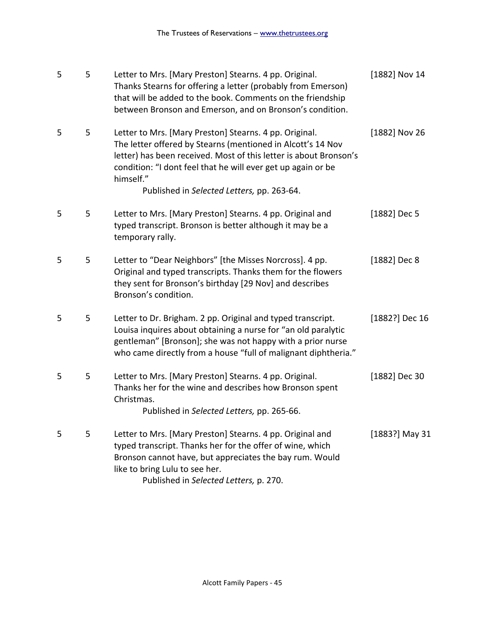| 5 | 5 | Letter to Mrs. [Mary Preston] Stearns. 4 pp. Original.<br>Thanks Stearns for offering a letter (probably from Emerson)<br>that will be added to the book. Comments on the friendship<br>between Bronson and Emerson, and on Bronson's condition.                                                                      | [1882] Nov 14  |
|---|---|-----------------------------------------------------------------------------------------------------------------------------------------------------------------------------------------------------------------------------------------------------------------------------------------------------------------------|----------------|
| 5 | 5 | Letter to Mrs. [Mary Preston] Stearns. 4 pp. Original.<br>The letter offered by Stearns (mentioned in Alcott's 14 Nov<br>letter) has been received. Most of this letter is about Bronson's<br>condition: "I dont feel that he will ever get up again or be<br>himself."<br>Published in Selected Letters, pp. 263-64. | [1882] Nov 26  |
|   |   |                                                                                                                                                                                                                                                                                                                       |                |
| 5 | 5 | Letter to Mrs. [Mary Preston] Stearns. 4 pp. Original and<br>typed transcript. Bronson is better although it may be a<br>temporary rally.                                                                                                                                                                             | [1882] Dec 5   |
| 5 | 5 | Letter to "Dear Neighbors" [the Misses Norcross]. 4 pp.<br>Original and typed transcripts. Thanks them for the flowers<br>they sent for Bronson's birthday [29 Nov] and describes<br>Bronson's condition.                                                                                                             | [1882] Dec 8   |
| 5 | 5 | Letter to Dr. Brigham. 2 pp. Original and typed transcript.<br>Louisa inquires about obtaining a nurse for "an old paralytic<br>gentleman" [Bronson]; she was not happy with a prior nurse<br>who came directly from a house "full of malignant diphtheria."                                                          | [1882?] Dec 16 |
| 5 | 5 | Letter to Mrs. [Mary Preston] Stearns. 4 pp. Original.<br>Thanks her for the wine and describes how Bronson spent<br>Christmas.<br>Published in Selected Letters, pp. 265-66.                                                                                                                                         | [1882] Dec 30  |
| 5 | 5 | Letter to Mrs. [Mary Preston] Stearns. 4 pp. Original and<br>typed transcript. Thanks her for the offer of wine, which<br>Bronson cannot have, but appreciates the bay rum. Would<br>like to bring Lulu to see her.<br>Published in Selected Letters, p. 270.                                                         | [1883?] May 31 |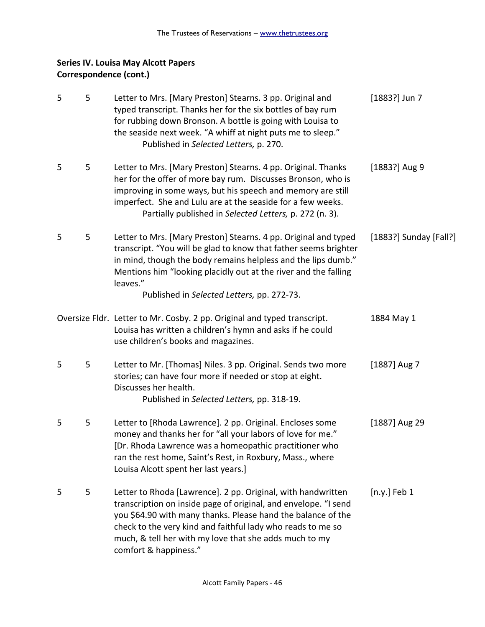| 5 | 5 | Letter to Mrs. [Mary Preston] Stearns. 3 pp. Original and<br>typed transcript. Thanks her for the six bottles of bay rum<br>for rubbing down Bronson. A bottle is going with Louisa to<br>the seaside next week. "A whiff at night puts me to sleep."<br>Published in Selected Letters, p. 270.                                                   | $[1883?]$ Jun 7        |
|---|---|---------------------------------------------------------------------------------------------------------------------------------------------------------------------------------------------------------------------------------------------------------------------------------------------------------------------------------------------------|------------------------|
| 5 | 5 | Letter to Mrs. [Mary Preston] Stearns. 4 pp. Original. Thanks<br>her for the offer of more bay rum. Discusses Bronson, who is<br>improving in some ways, but his speech and memory are still<br>imperfect. She and Lulu are at the seaside for a few weeks.<br>Partially published in Selected Letters, p. 272 (n. 3).                            | $[1883?]$ Aug 9        |
| 5 | 5 | Letter to Mrs. [Mary Preston] Stearns. 4 pp. Original and typed<br>transcript. "You will be glad to know that father seems brighter<br>in mind, though the body remains helpless and the lips dumb."<br>Mentions him "looking placidly out at the river and the falling<br>leaves."<br>Published in Selected Letters, pp. 272-73.                 | [1883?] Sunday [Fall?] |
|   |   | Oversize Fldr. Letter to Mr. Cosby. 2 pp. Original and typed transcript.<br>Louisa has written a children's hymn and asks if he could<br>use children's books and magazines.                                                                                                                                                                      | 1884 May 1             |
| 5 | 5 | Letter to Mr. [Thomas] Niles. 3 pp. Original. Sends two more<br>stories; can have four more if needed or stop at eight.<br>Discusses her health.<br>Published in Selected Letters, pp. 318-19.                                                                                                                                                    | $[1887]$ Aug 7         |
| 5 | 5 | Letter to [Rhoda Lawrence]. 2 pp. Original. Encloses some<br>money and thanks her for "all your labors of love for me."<br>[Dr. Rhoda Lawrence was a homeopathic practitioner who<br>ran the rest home, Saint's Rest, in Roxbury, Mass., where<br>Louisa Alcott spent her last years.]                                                            | [1887] Aug 29          |
| 5 | 5 | Letter to Rhoda [Lawrence]. 2 pp. Original, with handwritten<br>transcription on inside page of original, and envelope. "I send<br>you \$64.90 with many thanks. Please hand the balance of the<br>check to the very kind and faithful lady who reads to me so<br>much, & tell her with my love that she adds much to my<br>comfort & happiness." | $[n.y.]$ Feb 1         |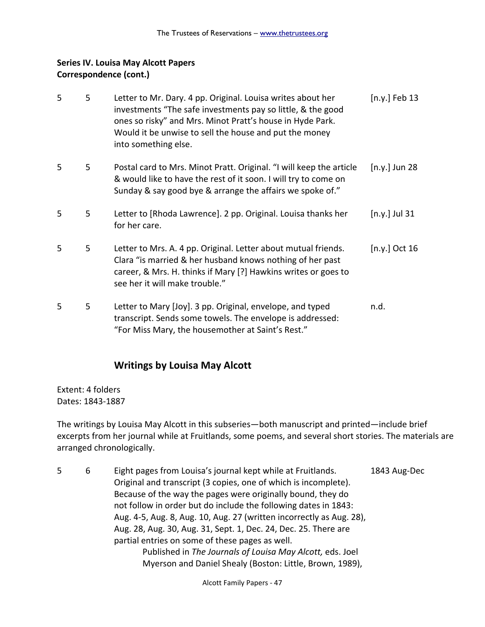| 5 | 5 | Letter to Mr. Dary. 4 pp. Original. Louisa writes about her<br>investments "The safe investments pay so little, & the good<br>ones so risky" and Mrs. Minot Pratt's house in Hyde Park.<br>Would it be unwise to sell the house and put the money<br>into something else. | $[n.y.]$ Feb 13 |
|---|---|---------------------------------------------------------------------------------------------------------------------------------------------------------------------------------------------------------------------------------------------------------------------------|-----------------|
| 5 | 5 | Postal card to Mrs. Minot Pratt. Original. "I will keep the article<br>& would like to have the rest of it soon. I will try to come on<br>Sunday & say good bye & arrange the affairs we spoke of."                                                                       | $[n.y.]$ Jun 28 |
| 5 | 5 | Letter to [Rhoda Lawrence]. 2 pp. Original. Louisa thanks her<br>for her care.                                                                                                                                                                                            | $[n.y.]$ Jul 31 |
| 5 | 5 | Letter to Mrs. A. 4 pp. Original. Letter about mutual friends.<br>Clara "is married & her husband knows nothing of her past<br>career, & Mrs. H. thinks if Mary [?] Hawkins writes or goes to<br>see her it will make trouble."                                           | [n.y.] Oct 16   |
| 5 | 5 | Letter to Mary [Joy]. 3 pp. Original, envelope, and typed<br>transcript. Sends some towels. The envelope is addressed:<br>"For Miss Mary, the housemother at Saint's Rest."                                                                                               | n.d.            |

## **Writings by Louisa May Alcott**

Extent: 4 folders Dates: 1843-1887

The writings by Louisa May Alcott in this subseries—both manuscript and printed—include brief excerpts from her journal while at Fruitlands, some poems, and several short stories. The materials are arranged chronologically.

5 6 Eight pages from Louisa's journal kept while at Fruitlands. 1843 Aug-Dec Original and transcript (3 copies, one of which is incomplete). Because of the way the pages were originally bound, they do not follow in order but do include the following dates in 1843: Aug. 4-5, Aug. 8, Aug. 10, Aug. 27 (written incorrectly as Aug. 28), Aug. 28, Aug. 30, Aug. 31, Sept. 1, Dec. 24, Dec. 25. There are partial entries on some of these pages as well. Published in *The Journals of Louisa May Alcott,* eds. Joel Myerson and Daniel Shealy (Boston: Little, Brown, 1989),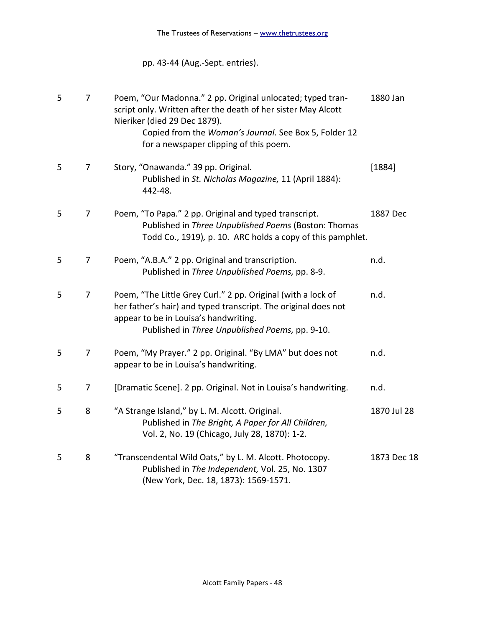# pp. 43-44 (Aug.-Sept. entries).

| 5 | $\overline{7}$ | Poem, "Our Madonna." 2 pp. Original unlocated; typed tran-<br>script only. Written after the death of her sister May Alcott<br>Nieriker (died 29 Dec 1879).<br>Copied from the Woman's Journal. See Box 5, Folder 12<br>for a newspaper clipping of this poem. | 1880 Jan    |
|---|----------------|----------------------------------------------------------------------------------------------------------------------------------------------------------------------------------------------------------------------------------------------------------------|-------------|
| 5 | $\overline{7}$ | Story, "Onawanda." 39 pp. Original.<br>Published in St. Nicholas Magazine, 11 (April 1884):<br>442-48.                                                                                                                                                         | [1884]      |
| 5 | 7              | Poem, "To Papa." 2 pp. Original and typed transcript.<br>Published in Three Unpublished Poems (Boston: Thomas<br>Todd Co., 1919), p. 10. ARC holds a copy of this pamphlet.                                                                                    | 1887 Dec    |
| 5 | 7              | Poem, "A.B.A." 2 pp. Original and transcription.<br>Published in Three Unpublished Poems, pp. 8-9.                                                                                                                                                             | n.d.        |
| 5 | $\overline{7}$ | Poem, "The Little Grey Curl." 2 pp. Original (with a lock of<br>her father's hair) and typed transcript. The original does not<br>appear to be in Louisa's handwriting.<br>Published in Three Unpublished Poems, pp. 9-10.                                     | n.d.        |
| 5 | 7              | Poem, "My Prayer." 2 pp. Original. "By LMA" but does not<br>appear to be in Louisa's handwriting.                                                                                                                                                              | n.d.        |
| 5 | 7              | [Dramatic Scene]. 2 pp. Original. Not in Louisa's handwriting.                                                                                                                                                                                                 | n.d.        |
| 5 | 8              | "A Strange Island," by L. M. Alcott. Original.<br>Published in The Bright, A Paper for All Children,<br>Vol. 2, No. 19 (Chicago, July 28, 1870): 1-2.                                                                                                          | 1870 Jul 28 |
| 5 | 8              | "Transcendental Wild Oats," by L. M. Alcott. Photocopy.<br>Published in The Independent, Vol. 25, No. 1307<br>(New York, Dec. 18, 1873): 1569-1571.                                                                                                            | 1873 Dec 18 |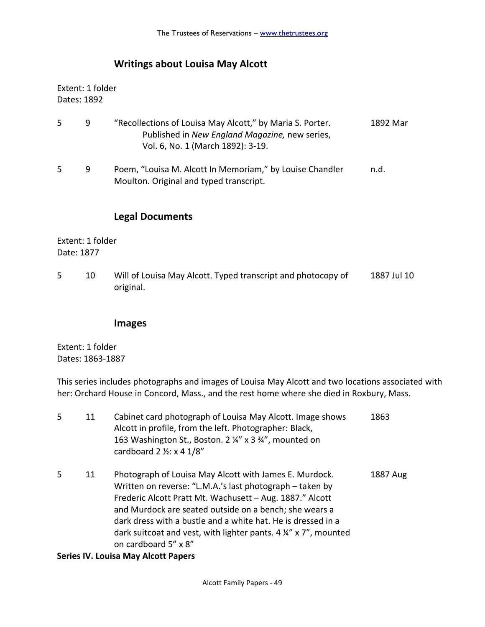## **Writings about Louisa May Alcott**

Extent: 1 folder Dates: 1892

| .5 | 9 | "Recollections of Louisa May Alcott," by Maria S. Porter.<br>Published in New England Magazine, new series,<br>Vol. 6, No. 1 (March 1892): 3-19. | 1892 Mar |
|----|---|--------------------------------------------------------------------------------------------------------------------------------------------------|----------|
| .5 | 9 | Poem, "Louisa M. Alcott In Memoriam," by Louise Chandler<br>Moulton. Original and typed transcript.                                              | n.d.     |

## **Legal Documents**

Extent: 1 folder Date: 1877

5 10 Will of Louisa May Alcott. Typed transcript and photocopy of 1887 Jul 10 original.

### **Images**

Extent: 1 folder Dates: 1863-1887

This series includes photographs and images of Louisa May Alcott and two locations associated with her: Orchard House in Concord, Mass., and the rest home where she died in Roxbury, Mass.

| .5 | 11 | Cabinet card photograph of Louisa May Alcott. Image shows<br>Alcott in profile, from the left. Photographer: Black,<br>163 Washington St., Boston. 2 ¼" x 3 ¾", mounted on<br>cardboard $2 \frac{1}{2}$ : x 4 $\frac{1}{8}$ "                                                                                                                                                                                | 1863     |
|----|----|--------------------------------------------------------------------------------------------------------------------------------------------------------------------------------------------------------------------------------------------------------------------------------------------------------------------------------------------------------------------------------------------------------------|----------|
| 5  | 11 | Photograph of Louisa May Alcott with James E. Murdock.<br>Written on reverse: "L.M.A.'s last photograph – taken by<br>Frederic Alcott Pratt Mt. Wachusett - Aug. 1887." Alcott<br>and Murdock are seated outside on a bench; she wears a<br>dark dress with a bustle and a white hat. He is dressed in a<br>dark suitcoat and vest, with lighter pants. $4\frac{1}{4}$ x 7", mounted<br>on cardboard 5" x 8" | 1887 Aug |
|    |    | Series IV Louisa May Alcott Paners                                                                                                                                                                                                                                                                                                                                                                           |          |

#### **Series IV. Louisa May Alcott Papers**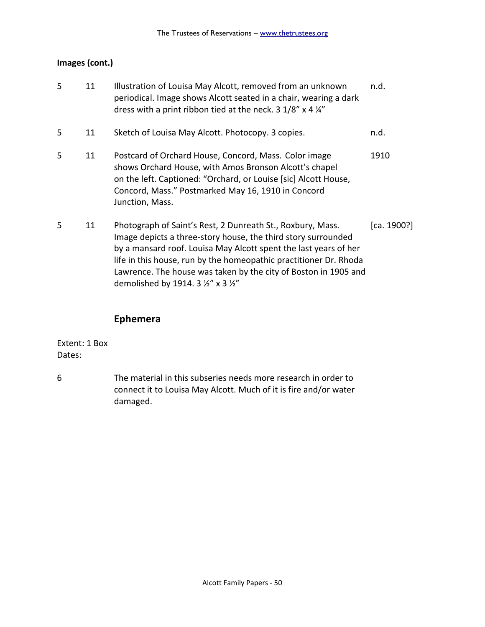## **Images (cont.)**

| 5 | 11 | Illustration of Louisa May Alcott, removed from an unknown<br>periodical. Image shows Alcott seated in a chair, wearing a dark<br>dress with a print ribbon tied at the neck. $3 \frac{1}{8}$ x 4 $\frac{1}{4}$                                                                                                                                                                               | n.d. |
|---|----|-----------------------------------------------------------------------------------------------------------------------------------------------------------------------------------------------------------------------------------------------------------------------------------------------------------------------------------------------------------------------------------------------|------|
| 5 | 11 | Sketch of Louisa May Alcott. Photocopy. 3 copies.                                                                                                                                                                                                                                                                                                                                             | n.d. |
| 5 | 11 | Postcard of Orchard House, Concord, Mass. Color image<br>shows Orchard House, with Amos Bronson Alcott's chapel<br>on the left. Captioned: "Orchard, or Louise [sic] Alcott House,<br>Concord, Mass." Postmarked May 16, 1910 in Concord<br>Junction, Mass.                                                                                                                                   | 1910 |
| 5 | 11 | Photograph of Saint's Rest, 2 Dunreath St., Roxbury, Mass.<br>[ca. 1900?]<br>Image depicts a three-story house, the third story surrounded<br>by a mansard roof. Louisa May Alcott spent the last years of her<br>life in this house, run by the homeopathic practitioner Dr. Rhoda<br>Lawrence. The house was taken by the city of Boston in 1905 and<br>demolished by 1914. 3 1/2" x 3 1/2" |      |

## **Ephemera**

Extent: 1 Box Dates:

6 The material in this subseries needs more research in order to connect it to Louisa May Alcott. Much of it is fire and/or water damaged.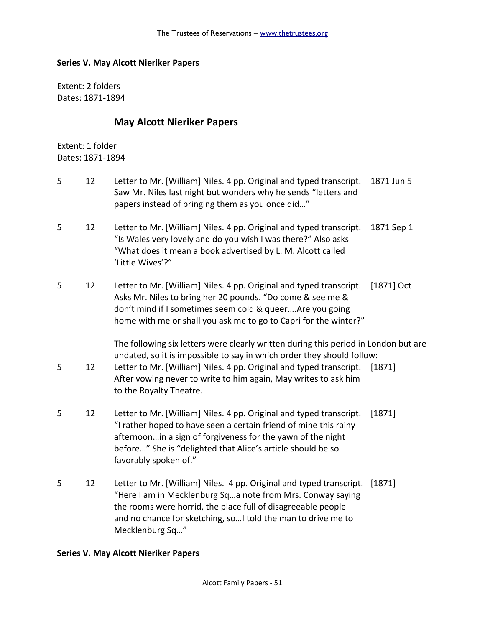#### **Series V. May Alcott Nieriker Papers**

Extent: 2 folders Dates: 1871-1894

#### **May Alcott Nieriker Papers**

Extent: 1 folder Dates: 1871-1894

- 5 12 Letter to Mr. [William] Niles. 4 pp. Original and typed transcript. 1871 Jun 5 Saw Mr. Niles last night but wonders why he sends "letters and papers instead of bringing them as you once did…"
- 5 12 Letter to Mr. [William] Niles. 4 pp. Original and typed transcript. 1871 Sep 1 "Is Wales very lovely and do you wish I was there?" Also asks "What does it mean a book advertised by L. M. Alcott called 'Little Wives'?"
- 5 12 Letter to Mr. [William] Niles. 4 pp. Original and typed transcript. [1871] Oct Asks Mr. Niles to bring her 20 pounds. "Do come & see me & don't mind if I sometimes seem cold & queer….Are you going home with me or shall you ask me to go to Capri for the winter?"

The following six letters were clearly written during this period in London but are undated, so it is impossible to say in which order they should follow:

- 5 12 Letter to Mr. [William] Niles. 4 pp. Original and typed transcript. [1871] After vowing never to write to him again, May writes to ask him to the Royalty Theatre.
- 5 12 Letter to Mr. [William] Niles. 4 pp. Original and typed transcript. [1871] "I rather hoped to have seen a certain friend of mine this rainy afternoon…in a sign of forgiveness for the yawn of the night before…" She is "delighted that Alice's article should be so favorably spoken of."
- 5 12 Letter to Mr. [William] Niles. 4 pp. Original and typed transcript. [1871] "Here I am in Mecklenburg Sq…a note from Mrs. Conway saying the rooms were horrid, the place full of disagreeable people and no chance for sketching, so…I told the man to drive me to Mecklenburg Sq…"

#### **Series V. May Alcott Nieriker Papers**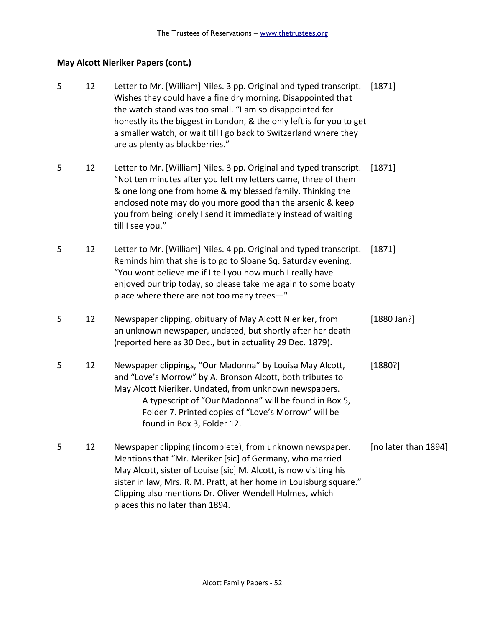# **May Alcott Nieriker Papers (cont.)**

| 5 | 12 | Letter to Mr. [William] Niles. 3 pp. Original and typed transcript.<br>Wishes they could have a fine dry morning. Disappointed that<br>the watch stand was too small. "I am so disappointed for<br>honestly its the biggest in London, & the only left is for you to get<br>a smaller watch, or wait till I go back to Switzerland where they<br>are as plenty as blackberries." | [1871]               |
|---|----|----------------------------------------------------------------------------------------------------------------------------------------------------------------------------------------------------------------------------------------------------------------------------------------------------------------------------------------------------------------------------------|----------------------|
| 5 | 12 | Letter to Mr. [William] Niles. 3 pp. Original and typed transcript.<br>"Not ten minutes after you left my letters came, three of them<br>& one long one from home & my blessed family. Thinking the<br>enclosed note may do you more good than the arsenic & keep<br>you from being lonely I send it immediately instead of waiting<br>till I see you."                          | [1871]               |
| 5 | 12 | Letter to Mr. [William] Niles. 4 pp. Original and typed transcript.<br>Reminds him that she is to go to Sloane Sq. Saturday evening.<br>"You wont believe me if I tell you how much I really have<br>enjoyed our trip today, so please take me again to some boaty<br>place where there are not too many trees-"                                                                 | [1871]               |
| 5 | 12 | Newspaper clipping, obituary of May Alcott Nieriker, from<br>an unknown newspaper, undated, but shortly after her death<br>(reported here as 30 Dec., but in actuality 29 Dec. 1879).                                                                                                                                                                                            | [1880 Jan?]          |
| 5 | 12 | Newspaper clippings, "Our Madonna" by Louisa May Alcott,<br>and "Love's Morrow" by A. Bronson Alcott, both tributes to<br>May Alcott Nieriker. Undated, from unknown newspapers.<br>A typescript of "Our Madonna" will be found in Box 5,<br>Folder 7. Printed copies of "Love's Morrow" will be<br>found in Box 3, Folder 12.                                                   | [1880?]              |
| 5 | 12 | Newspaper clipping (incomplete), from unknown newspaper.<br>Mentions that "Mr. Meriker [sic] of Germany, who married<br>May Alcott, sister of Louise [sic] M. Alcott, is now visiting his<br>sister in law, Mrs. R. M. Pratt, at her home in Louisburg square."<br>Clipping also mentions Dr. Oliver Wendell Holmes, which<br>places this no later than 1894.                    | [no later than 1894] |